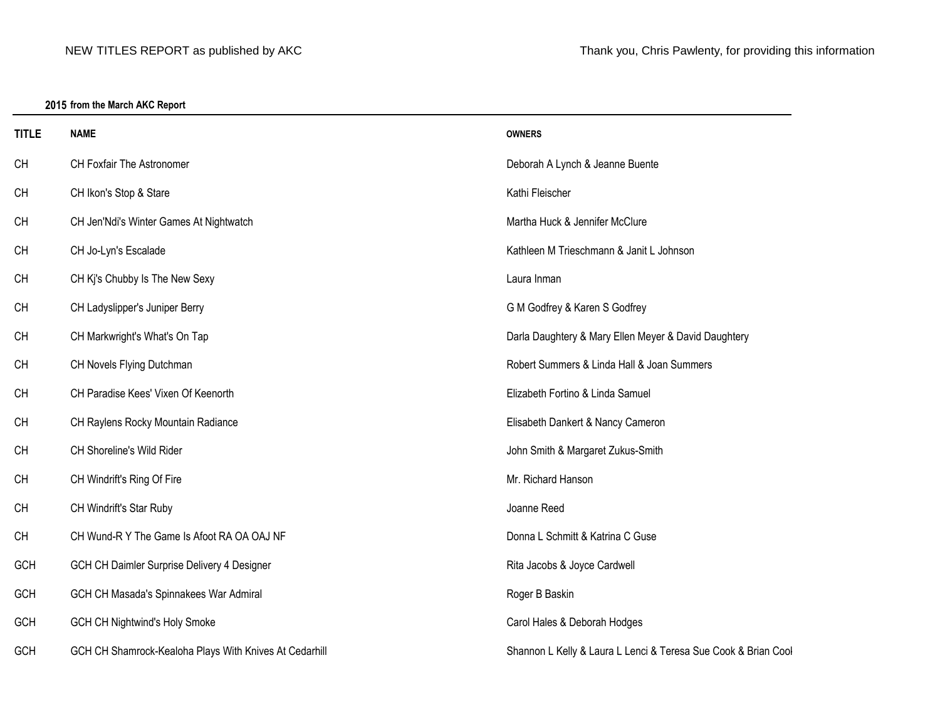# **2015 from the March AKC Report**

| <b>TITLE</b> | <b>NAME</b>                                            | <b>OWNERS</b>                                                  |
|--------------|--------------------------------------------------------|----------------------------------------------------------------|
| <b>CH</b>    | CH Foxfair The Astronomer                              | Deborah A Lynch & Jeanne Buente                                |
| <b>CH</b>    | CH Ikon's Stop & Stare                                 | Kathi Fleischer                                                |
| <b>CH</b>    | CH Jen'Ndi's Winter Games At Nightwatch                | Martha Huck & Jennifer McClure                                 |
| <b>CH</b>    | CH Jo-Lyn's Escalade                                   | Kathleen M Trieschmann & Janit L Johnson                       |
| <b>CH</b>    | CH Kj's Chubby Is The New Sexy                         | Laura Inman                                                    |
| <b>CH</b>    | CH Ladyslipper's Juniper Berry                         | G M Godfrey & Karen S Godfrey                                  |
| <b>CH</b>    | CH Markwright's What's On Tap                          | Darla Daughtery & Mary Ellen Meyer & David Daughtery           |
| <b>CH</b>    | CH Novels Flying Dutchman                              | Robert Summers & Linda Hall & Joan Summers                     |
| <b>CH</b>    | CH Paradise Kees' Vixen Of Keenorth                    | Elizabeth Fortino & Linda Samuel                               |
| <b>CH</b>    | CH Raylens Rocky Mountain Radiance                     | Elisabeth Dankert & Nancy Cameron                              |
| <b>CH</b>    | CH Shoreline's Wild Rider                              | John Smith & Margaret Zukus-Smith                              |
| <b>CH</b>    | CH Windrift's Ring Of Fire                             | Mr. Richard Hanson                                             |
| <b>CH</b>    | CH Windrift's Star Ruby                                | Joanne Reed                                                    |
| <b>CH</b>    | CH Wund-R Y The Game Is Afoot RA OA OAJ NF             | Donna L Schmitt & Katrina C Guse                               |
| GCH          | GCH CH Daimler Surprise Delivery 4 Designer            | Rita Jacobs & Joyce Cardwell                                   |
| GCH          | GCH CH Masada's Spinnakees War Admiral                 | Roger B Baskin                                                 |
| GCH          | <b>GCH CH Nightwind's Holy Smoke</b>                   | Carol Hales & Deborah Hodges                                   |
| GCH          | GCH CH Shamrock-Kealoha Plays With Knives At Cedarhill | Shannon L Kelly & Laura L Lenci & Teresa Sue Cook & Brian Cool |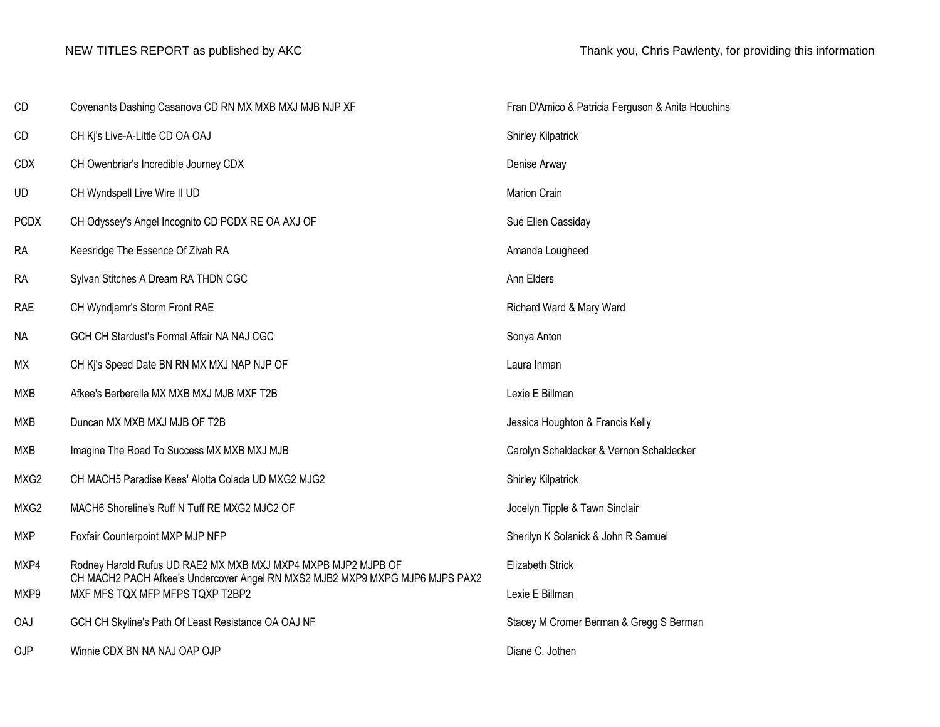| CD          | Covenants Dashing Casanova CD RN MX MXB MXJ MJB NJP XF                                                                                        | Fran D'Amico & Patricia Ferguson & Anita Houchins |
|-------------|-----------------------------------------------------------------------------------------------------------------------------------------------|---------------------------------------------------|
| CD          | CH Kj's Live-A-Little CD OA OAJ                                                                                                               | <b>Shirley Kilpatrick</b>                         |
| <b>CDX</b>  | CH Owenbriar's Incredible Journey CDX                                                                                                         | Denise Arway                                      |
| UD          | CH Wyndspell Live Wire II UD                                                                                                                  | Marion Crain                                      |
| <b>PCDX</b> | CH Odyssey's Angel Incognito CD PCDX RE OA AXJ OF                                                                                             | Sue Ellen Cassiday                                |
| <b>RA</b>   | Keesridge The Essence Of Zivah RA                                                                                                             | Amanda Lougheed                                   |
| <b>RA</b>   | Sylvan Stitches A Dream RA THDN CGC                                                                                                           | Ann Elders                                        |
| <b>RAE</b>  | CH Wyndjamr's Storm Front RAE                                                                                                                 | Richard Ward & Mary Ward                          |
| <b>NA</b>   | GCH CH Stardust's Formal Affair NA NAJ CGC                                                                                                    | Sonya Anton                                       |
| <b>MX</b>   | CH Ki's Speed Date BN RN MX MXJ NAP NJP OF                                                                                                    | Laura Inman                                       |
| <b>MXB</b>  | Afkee's Berberella MX MXB MXJ MJB MXF T2B                                                                                                     | Lexie E Billman                                   |
| <b>MXB</b>  | Duncan MX MXB MXJ MJB OF T2B                                                                                                                  | Jessica Houghton & Francis Kelly                  |
| <b>MXB</b>  | Imagine The Road To Success MX MXB MXJ MJB                                                                                                    | Carolyn Schaldecker & Vernon Schaldecker          |
| MXG2        | CH MACH5 Paradise Kees' Alotta Colada UD MXG2 MJG2                                                                                            | <b>Shirley Kilpatrick</b>                         |
| MXG2        | MACH6 Shoreline's Ruff N Tuff RE MXG2 MJC2 OF                                                                                                 | Jocelyn Tipple & Tawn Sinclair                    |
| <b>MXP</b>  | Foxfair Counterpoint MXP MJP NFP                                                                                                              | Sherilyn K Solanick & John R Samuel               |
| MXP4        | Rodney Harold Rufus UD RAE2 MX MXB MXJ MXP4 MXPB MJP2 MJPB OF<br>CH MACH2 PACH Afkee's Undercover Angel RN MXS2 MJB2 MXP9 MXPG MJP6 MJPS PAX2 | Elizabeth Strick                                  |
| MXP9        | MXF MFS TQX MFP MFPS TQXP T2BP2                                                                                                               | Lexie E Billman                                   |
| OAJ         | GCH CH Skyline's Path Of Least Resistance OA OAJ NF                                                                                           | Stacey M Cromer Berman & Gregg S Berman           |
| <b>OJP</b>  | Winnie CDX BN NA NAJ OAP OJP                                                                                                                  | Diane C. Jothen                                   |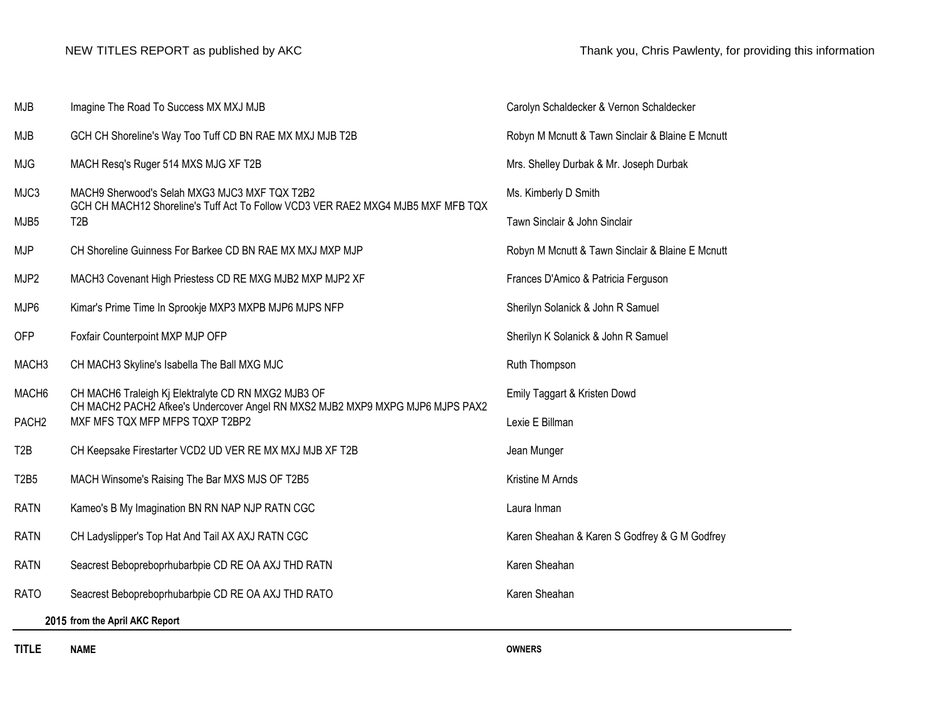| <b>MJB</b>        | Imagine The Road To Success MX MXJ MJB                                                                                               | Carolyn Schaldecker & Vernon Schaldecker         |
|-------------------|--------------------------------------------------------------------------------------------------------------------------------------|--------------------------------------------------|
| <b>MJB</b>        | GCH CH Shoreline's Way Too Tuff CD BN RAE MX MXJ MJB T2B                                                                             | Robyn M Mcnutt & Tawn Sinclair & Blaine E Mcnutt |
| <b>MJG</b>        | MACH Resq's Ruger 514 MXS MJG XF T2B                                                                                                 | Mrs. Shelley Durbak & Mr. Joseph Durbak          |
| MJC3              | MACH9 Sherwood's Selah MXG3 MJC3 MXF TQX T2B2<br>GCH CH MACH12 Shoreline's Tuff Act To Follow VCD3 VER RAE2 MXG4 MJB5 MXF MFB TQX    | Ms. Kimberly D Smith                             |
| MJB <sub>5</sub>  | T <sub>2</sub> B                                                                                                                     | Tawn Sinclair & John Sinclair                    |
| <b>MJP</b>        | CH Shoreline Guinness For Barkee CD BN RAE MX MXJ MXP MJP                                                                            | Robyn M Mcnutt & Tawn Sinclair & Blaine E Mcnutt |
| MJP2              | MACH3 Covenant High Priestess CD RE MXG MJB2 MXP MJP2 XF                                                                             | Frances D'Amico & Patricia Ferguson              |
| MJP6              | Kimar's Prime Time In Sprookje MXP3 MXPB MJP6 MJPS NFP                                                                               | Sherilyn Solanick & John R Samuel                |
| <b>OFP</b>        | Foxfair Counterpoint MXP MJP OFP                                                                                                     | Sherilyn K Solanick & John R Samuel              |
| MACH <sub>3</sub> | CH MACH3 Skyline's Isabella The Ball MXG MJC                                                                                         | Ruth Thompson                                    |
| MACH <sub>6</sub> | CH MACH6 Traleigh Kj Elektralyte CD RN MXG2 MJB3 OF<br>CH MACH2 PACH2 Afkee's Undercover Angel RN MXS2 MJB2 MXP9 MXPG MJP6 MJPS PAX2 | Emily Taggart & Kristen Dowd                     |
| PACH <sub>2</sub> | MXF MFS TQX MFP MFPS TQXP T2BP2                                                                                                      | Lexie E Billman                                  |
| T <sub>2</sub> B  | CH Keepsake Firestarter VCD2 UD VER RE MX MXJ MJB XF T2B                                                                             | Jean Munger                                      |
| <b>T2B5</b>       | MACH Winsome's Raising The Bar MXS MJS OF T2B5                                                                                       | Kristine M Arnds                                 |
| <b>RATN</b>       | Kameo's B My Imagination BN RN NAP NJP RATN CGC                                                                                      | Laura Inman                                      |
| <b>RATN</b>       | CH Ladyslipper's Top Hat And Tail AX AXJ RATN CGC                                                                                    | Karen Sheahan & Karen S Godfrey & G M Godfrey    |
| <b>RATN</b>       | Seacrest Bebopreboprhubarbpie CD RE OA AXJ THD RATN                                                                                  | Karen Sheahan                                    |
| <b>RATO</b>       | Seacrest Bebopreboprhubarbpie CD RE OA AXJ THD RATO                                                                                  | Karen Sheahan                                    |
|                   | 2015 from the April AKC Report                                                                                                       |                                                  |

**TITLE NAME OWNERS**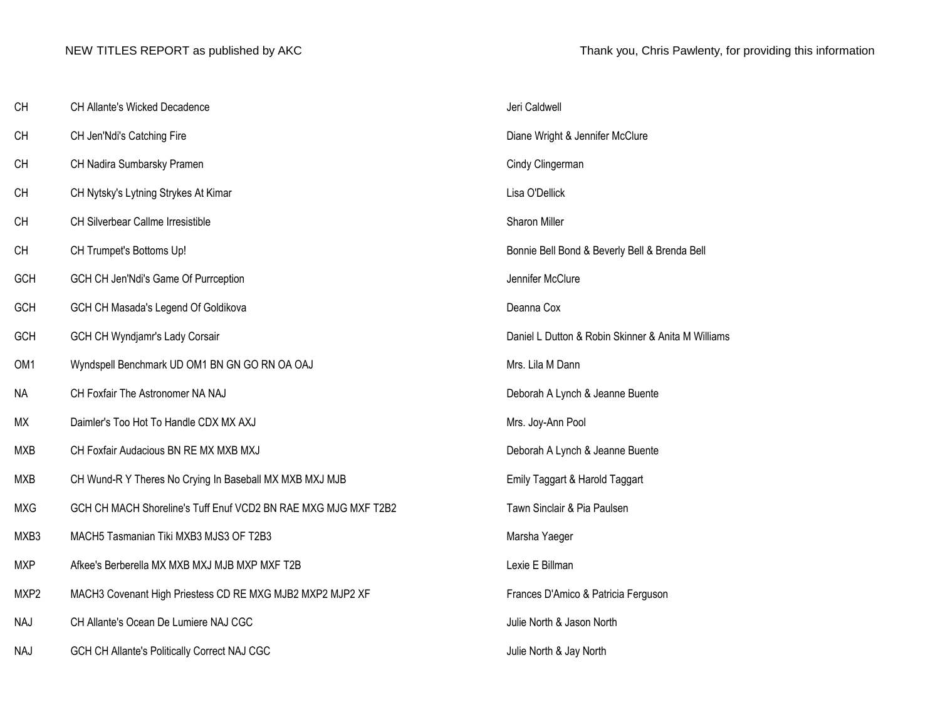| <b>CH</b>  | CH Allante's Wicked Decadence                                  | Jeri Caldwell                                      |
|------------|----------------------------------------------------------------|----------------------------------------------------|
| <b>CH</b>  | CH Jen'Ndi's Catching Fire                                     | Diane Wright & Jennifer McClure                    |
| <b>CH</b>  | CH Nadira Sumbarsky Pramen                                     | Cindy Clingerman                                   |
| <b>CH</b>  | CH Nytsky's Lytning Strykes At Kimar                           | Lisa O'Dellick                                     |
| <b>CH</b>  | CH Silverbear Callme Irresistible                              | Sharon Miller                                      |
| <b>CH</b>  | CH Trumpet's Bottoms Up!                                       | Bonnie Bell Bond & Beverly Bell & Brenda Bell      |
| GCH        | GCH CH Jen'Ndi's Game Of Purrception                           | Jennifer McClure                                   |
| GCH        | GCH CH Masada's Legend Of Goldikova                            | Deanna Cox                                         |
| GCH        | GCH CH Wyndjamr's Lady Corsair                                 | Daniel L Dutton & Robin Skinner & Anita M Williams |
| OM1        | Wyndspell Benchmark UD OM1 BN GN GO RN OA OAJ                  | Mrs. Lila M Dann                                   |
| <b>NA</b>  | CH Foxfair The Astronomer NA NAJ                               | Deborah A Lynch & Jeanne Buente                    |
| МX         | Daimler's Too Hot To Handle CDX MX AXJ                         | Mrs. Joy-Ann Pool                                  |
| <b>MXB</b> | CH Foxfair Audacious BN RE MX MXB MXJ                          | Deborah A Lynch & Jeanne Buente                    |
| <b>MXB</b> | CH Wund-R Y Theres No Crying In Baseball MX MXB MXJ MJB        | Emily Taggart & Harold Taggart                     |
| <b>MXG</b> | GCH CH MACH Shoreline's Tuff Enuf VCD2 BN RAE MXG MJG MXF T2B2 | Tawn Sinclair & Pia Paulsen                        |
| MXB3       | MACH5 Tasmanian Tiki MXB3 MJS3 OF T2B3                         | Marsha Yaeger                                      |
| <b>MXP</b> | Afkee's Berberella MX MXB MXJ MJB MXP MXF T2B                  | Lexie E Billman                                    |
| MXP2       | MACH3 Covenant High Priestess CD RE MXG MJB2 MXP2 MJP2 XF      | Frances D'Amico & Patricia Ferguson                |
| <b>NAJ</b> | CH Allante's Ocean De Lumiere NAJ CGC                          | Julie North & Jason North                          |
| <b>NAJ</b> | GCH CH Allante's Politically Correct NAJ CGC                   | Julie North & Jay North                            |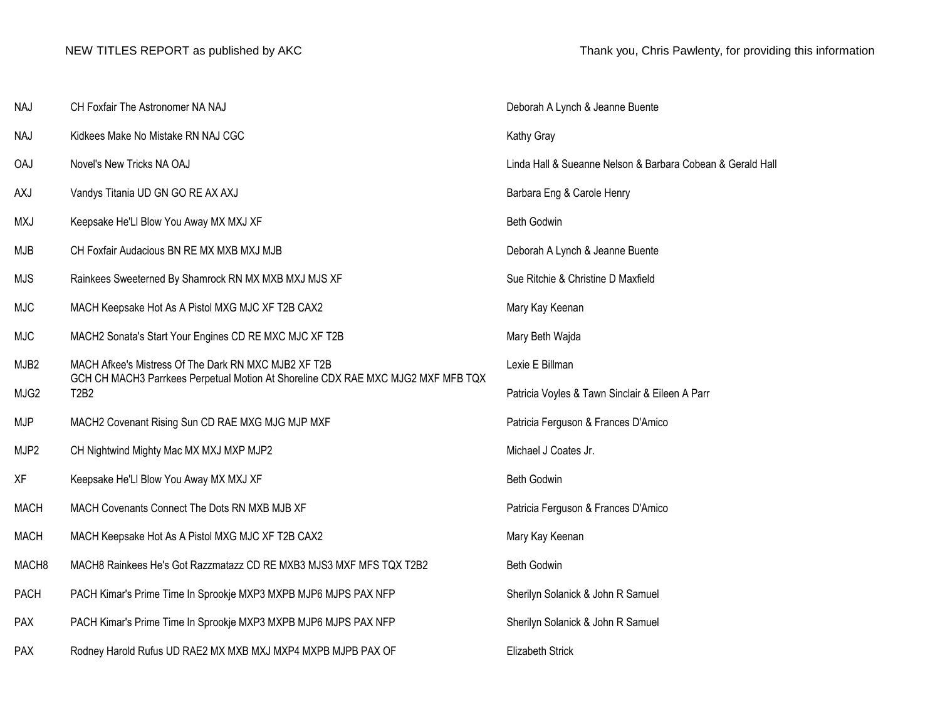| <b>NAJ</b>        | CH Foxfair The Astronomer NA NAJ                                                                                                         | Deborah A Lynch & Jeanne Buente                            |
|-------------------|------------------------------------------------------------------------------------------------------------------------------------------|------------------------------------------------------------|
| <b>NAJ</b>        | Kidkees Make No Mistake RN NAJ CGC                                                                                                       | Kathy Gray                                                 |
| <b>OAJ</b>        | Novel's New Tricks NA OAJ                                                                                                                | Linda Hall & Sueanne Nelson & Barbara Cobean & Gerald Hall |
| <b>AXJ</b>        | Vandys Titania UD GN GO RE AX AXJ                                                                                                        | Barbara Eng & Carole Henry                                 |
| <b>MXJ</b>        | Keepsake He'Ll Blow You Away MX MXJ XF                                                                                                   | Beth Godwin                                                |
| <b>MJB</b>        | CH Foxfair Audacious BN RE MX MXB MXJ MJB                                                                                                | Deborah A Lynch & Jeanne Buente                            |
| <b>MJS</b>        | Rainkees Sweeterned By Shamrock RN MX MXB MXJ MJS XF                                                                                     | Sue Ritchie & Christine D Maxfield                         |
| <b>MJC</b>        | MACH Keepsake Hot As A Pistol MXG MJC XF T2B CAX2                                                                                        | Mary Kay Keenan                                            |
| <b>MJC</b>        | MACH2 Sonata's Start Your Engines CD RE MXC MJC XF T2B                                                                                   | Mary Beth Wajda                                            |
| MJB <sub>2</sub>  | MACH Afkee's Mistress Of The Dark RN MXC MJB2 XF T2B<br>GCH CH MACH3 Parrkees Perpetual Motion At Shoreline CDX RAE MXC MJG2 MXF MFB TQX | Lexie E Billman                                            |
| MJG2<br>T2B2      |                                                                                                                                          | Patricia Voyles & Tawn Sinclair & Eileen A Parr            |
| <b>MJP</b>        | MACH2 Covenant Rising Sun CD RAE MXG MJG MJP MXF                                                                                         | Patricia Ferguson & Frances D'Amico                        |
| MJP2              | CH Nightwind Mighty Mac MX MXJ MXP MJP2                                                                                                  | Michael J Coates Jr.                                       |
| XF                | Keepsake He'Ll Blow You Away MX MXJ XF                                                                                                   | Beth Godwin                                                |
| <b>MACH</b>       | MACH Covenants Connect The Dots RN MXB MJB XF                                                                                            | Patricia Ferguson & Frances D'Amico                        |
| <b>MACH</b>       | MACH Keepsake Hot As A Pistol MXG MJC XF T2B CAX2                                                                                        | Mary Kay Keenan                                            |
| MACH <sub>8</sub> | MACH8 Rainkees He's Got Razzmatazz CD RE MXB3 MJS3 MXF MFS TQX T2B2                                                                      | Beth Godwin                                                |
| PACH              | PACH Kimar's Prime Time In Sprookje MXP3 MXPB MJP6 MJPS PAX NFP                                                                          | Sherilyn Solanick & John R Samuel                          |
| PAX               | PACH Kimar's Prime Time In Sprookje MXP3 MXPB MJP6 MJPS PAX NFP                                                                          | Sherilyn Solanick & John R Samuel                          |
| <b>PAX</b>        | Rodney Harold Rufus UD RAE2 MX MXB MXJ MXP4 MXPB MJPB PAX OF                                                                             | Elizabeth Strick                                           |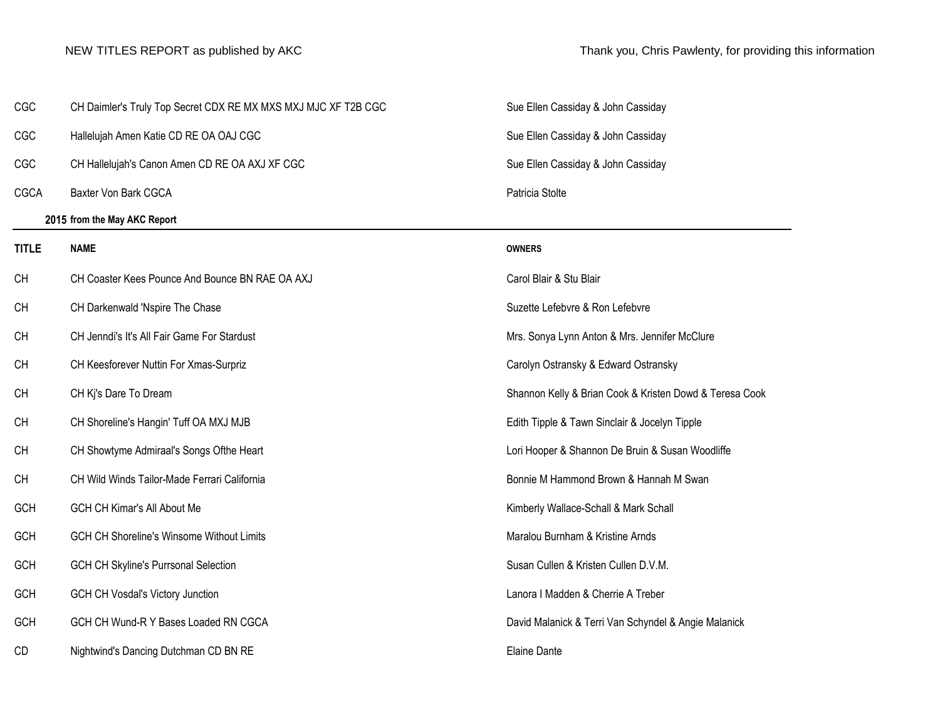| CGC          | CH Daimler's Truly Top Secret CDX RE MX MXS MXJ MJC XF T2B CGC | Sue Ellen Cassiday & John Cassiday                      |
|--------------|----------------------------------------------------------------|---------------------------------------------------------|
| CGC          | Hallelujah Amen Katie CD RE OA OAJ CGC                         | Sue Ellen Cassiday & John Cassiday                      |
| CGC          | CH Hallelujah's Canon Amen CD RE OA AXJ XF CGC                 | Sue Ellen Cassiday & John Cassiday                      |
| <b>CGCA</b>  | Baxter Von Bark CGCA                                           | Patricia Stolte                                         |
|              | 2015 from the May AKC Report                                   |                                                         |
| <b>TITLE</b> | <b>NAME</b>                                                    | <b>OWNERS</b>                                           |
| <b>CH</b>    | CH Coaster Kees Pounce And Bounce BN RAE OA AXJ                | Carol Blair & Stu Blair                                 |
| <b>CH</b>    | CH Darkenwald 'Nspire The Chase                                | Suzette Lefebvre & Ron Lefebvre                         |
| <b>CH</b>    | CH Jenndi's It's All Fair Game For Stardust                    | Mrs. Sonya Lynn Anton & Mrs. Jennifer McClure           |
| <b>CH</b>    | CH Keesforever Nuttin For Xmas-Surpriz                         | Carolyn Ostransky & Edward Ostransky                    |
| <b>CH</b>    | CH Ki's Dare To Dream                                          | Shannon Kelly & Brian Cook & Kristen Dowd & Teresa Cook |
| <b>CH</b>    | CH Shoreline's Hangin' Tuff OA MXJ MJB                         | Edith Tipple & Tawn Sinclair & Jocelyn Tipple           |
| <b>CH</b>    | CH Showtyme Admiraal's Songs Ofthe Heart                       | Lori Hooper & Shannon De Bruin & Susan Woodliffe        |
| <b>CH</b>    | CH Wild Winds Tailor-Made Ferrari California                   | Bonnie M Hammond Brown & Hannah M Swan                  |
| GCH          | GCH CH Kimar's All About Me                                    | Kimberly Wallace-Schall & Mark Schall                   |
| <b>GCH</b>   | <b>GCH CH Shoreline's Winsome Without Limits</b>               | Maralou Burnham & Kristine Arnds                        |
| GCH          | <b>GCH CH Skyline's Purrsonal Selection</b>                    | Susan Cullen & Kristen Cullen D.V.M.                    |
| GCH          | GCH CH Vosdal's Victory Junction                               | Lanora I Madden & Cherrie A Treber                      |
| <b>GCH</b>   | GCH CH Wund-R Y Bases Loaded RN CGCA                           | David Malanick & Terri Van Schyndel & Angie Malanick    |
| CD           | Nightwind's Dancing Dutchman CD BN RE                          | <b>Elaine Dante</b>                                     |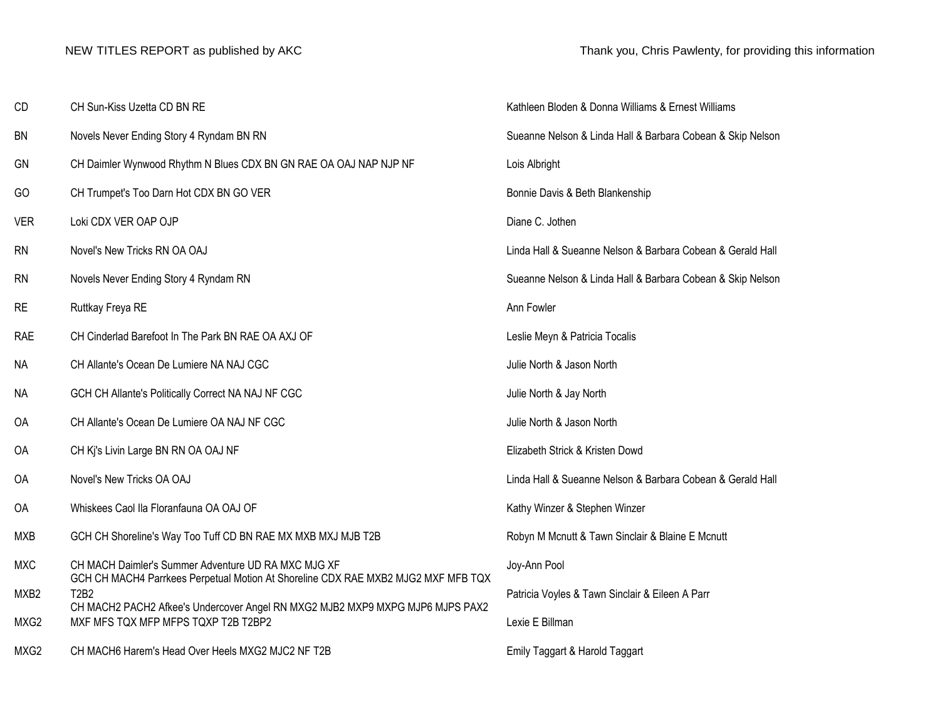| CD         | CH Sun-Kiss Uzetta CD BN RE                                                                                                              | Kathleen Bloden & Donna Williams & Ernest Williams         |
|------------|------------------------------------------------------------------------------------------------------------------------------------------|------------------------------------------------------------|
| <b>BN</b>  | Novels Never Ending Story 4 Ryndam BN RN                                                                                                 | Sueanne Nelson & Linda Hall & Barbara Cobean & Skip Nelson |
| GN         | CH Daimler Wynwood Rhythm N Blues CDX BN GN RAE OA OAJ NAP NJP NF                                                                        | Lois Albright                                              |
| GO         | CH Trumpet's Too Darn Hot CDX BN GO VER                                                                                                  | Bonnie Davis & Beth Blankenship                            |
| <b>VER</b> | Loki CDX VER OAP OJP                                                                                                                     | Diane C. Jothen                                            |
| <b>RN</b>  | Novel's New Tricks RN OA OAJ                                                                                                             | Linda Hall & Sueanne Nelson & Barbara Cobean & Gerald Hall |
| <b>RN</b>  | Novels Never Ending Story 4 Ryndam RN                                                                                                    | Sueanne Nelson & Linda Hall & Barbara Cobean & Skip Nelson |
| <b>RE</b>  | Ruttkay Freya RE                                                                                                                         | Ann Fowler                                                 |
| <b>RAE</b> | CH Cinderlad Barefoot In The Park BN RAE OA AXJ OF                                                                                       | Leslie Meyn & Patricia Tocalis                             |
| NA         | CH Allante's Ocean De Lumiere NA NAJ CGC                                                                                                 | Julie North & Jason North                                  |
| <b>NA</b>  | GCH CH Allante's Politically Correct NA NAJ NF CGC                                                                                       | Julie North & Jay North                                    |
| OA         | CH Allante's Ocean De Lumiere OA NAJ NF CGC                                                                                              | Julie North & Jason North                                  |
| 0A         | CH Kj's Livin Large BN RN OA OAJ NF                                                                                                      | Elizabeth Strick & Kristen Dowd                            |
| OA         | Novel's New Tricks OA OAJ                                                                                                                | Linda Hall & Sueanne Nelson & Barbara Cobean & Gerald Hall |
| OA         | Whiskees Caol IIa Floranfauna OA OAJ OF                                                                                                  | Kathy Winzer & Stephen Winzer                              |
| <b>MXB</b> | GCH CH Shoreline's Way Too Tuff CD BN RAE MX MXB MXJ MJB T2B                                                                             | Robyn M Mcnutt & Tawn Sinclair & Blaine E Mcnutt           |
| <b>MXC</b> | CH MACH Daimler's Summer Adventure UD RA MXC MJG XF<br>GCH CH MACH4 Parrkees Perpetual Motion At Shoreline CDX RAE MXB2 MJG2 MXF MFB TQX | Joy-Ann Pool                                               |
| MXB2       | T2B2<br>CH MACH2 PACH2 Afkee's Undercover Angel RN MXG2 MJB2 MXP9 MXPG MJP6 MJPS PAX2                                                    | Patricia Voyles & Tawn Sinclair & Eileen A Parr            |
| MXG2       | MXF MFS TQX MFP MFPS TQXP T2B T2BP2                                                                                                      | Lexie E Billman                                            |
| MXG2       | CH MACH6 Harem's Head Over Heels MXG2 MJC2 NF T2B                                                                                        | Emily Taggart & Harold Taggart                             |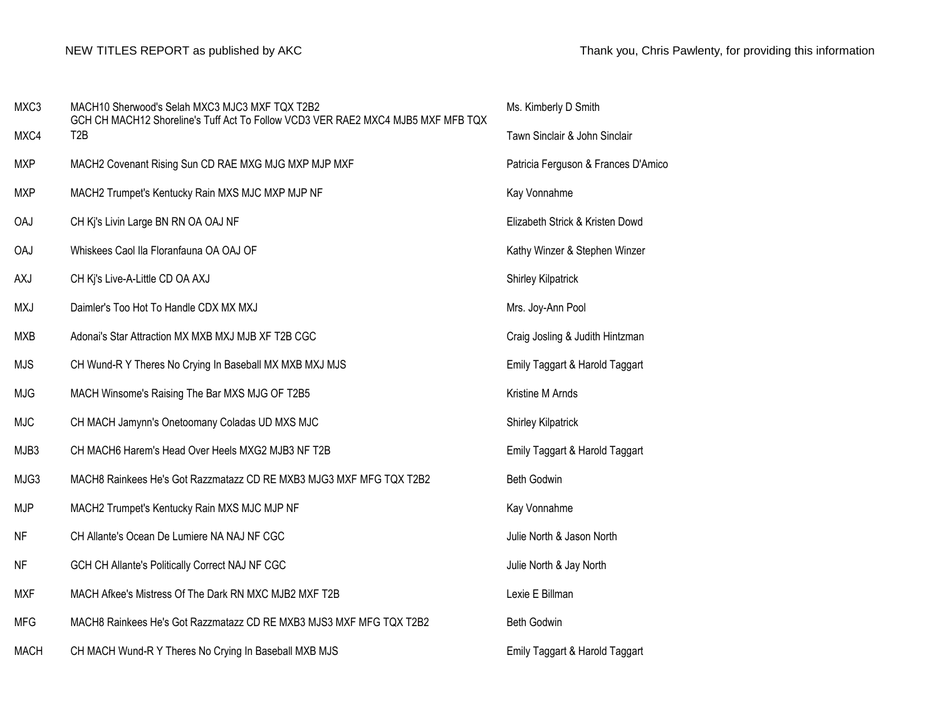| MXC3        | MACH10 Sherwood's Selah MXC3 MJC3 MXF TQX T2B2<br>GCH CH MACH12 Shoreline's Tuff Act To Follow VCD3 VER RAE2 MXC4 MJB5 MXF MFB TQX | Ms. Kimberly D Smith                |
|-------------|------------------------------------------------------------------------------------------------------------------------------------|-------------------------------------|
| MXC4        | T <sub>2</sub> B                                                                                                                   | Tawn Sinclair & John Sinclair       |
| <b>MXP</b>  | MACH2 Covenant Rising Sun CD RAE MXG MJG MXP MJP MXF                                                                               | Patricia Ferguson & Frances D'Amico |
| <b>MXP</b>  | MACH2 Trumpet's Kentucky Rain MXS MJC MXP MJP NF                                                                                   | Kay Vonnahme                        |
| <b>OAJ</b>  | CH Ki's Livin Large BN RN OA OAJ NF                                                                                                | Elizabeth Strick & Kristen Dowd     |
| <b>OAJ</b>  | Whiskees Caol Ila Floranfauna OA OAJ OF                                                                                            | Kathy Winzer & Stephen Winzer       |
| AXJ         | CH Kj's Live-A-Little CD OA AXJ                                                                                                    | <b>Shirley Kilpatrick</b>           |
| <b>MXJ</b>  | Daimler's Too Hot To Handle CDX MX MXJ                                                                                             | Mrs. Joy-Ann Pool                   |
| <b>MXB</b>  | Adonai's Star Attraction MX MXB MXJ MJB XF T2B CGC                                                                                 | Craig Josling & Judith Hintzman     |
| <b>MJS</b>  | CH Wund-R Y Theres No Crying In Baseball MX MXB MXJ MJS                                                                            | Emily Taggart & Harold Taggart      |
| <b>MJG</b>  | MACH Winsome's Raising The Bar MXS MJG OF T2B5                                                                                     | Kristine M Arnds                    |
| <b>MJC</b>  | CH MACH Jamynn's Onetoomany Coladas UD MXS MJC                                                                                     | <b>Shirley Kilpatrick</b>           |
| MJB3        | CH MACH6 Harem's Head Over Heels MXG2 MJB3 NF T2B                                                                                  | Emily Taggart & Harold Taggart      |
| MJG3        | MACH8 Rainkees He's Got Razzmatazz CD RE MXB3 MJG3 MXF MFG TQX T2B2                                                                | Beth Godwin                         |
| <b>MJP</b>  | MACH2 Trumpet's Kentucky Rain MXS MJC MJP NF                                                                                       | Kay Vonnahme                        |
| <b>NF</b>   | CH Allante's Ocean De Lumiere NA NAJ NF CGC                                                                                        | Julie North & Jason North           |
| <b>NF</b>   | GCH CH Allante's Politically Correct NAJ NF CGC                                                                                    | Julie North & Jay North             |
| <b>MXF</b>  | MACH Afkee's Mistress Of The Dark RN MXC MJB2 MXF T2B                                                                              | Lexie E Billman                     |
| <b>MFG</b>  | MACH8 Rainkees He's Got Razzmatazz CD RE MXB3 MJS3 MXF MFG TQX T2B2                                                                | <b>Beth Godwin</b>                  |
| <b>MACH</b> | CH MACH Wund-R Y Theres No Crying In Baseball MXB MJS                                                                              | Emily Taggart & Harold Taggart      |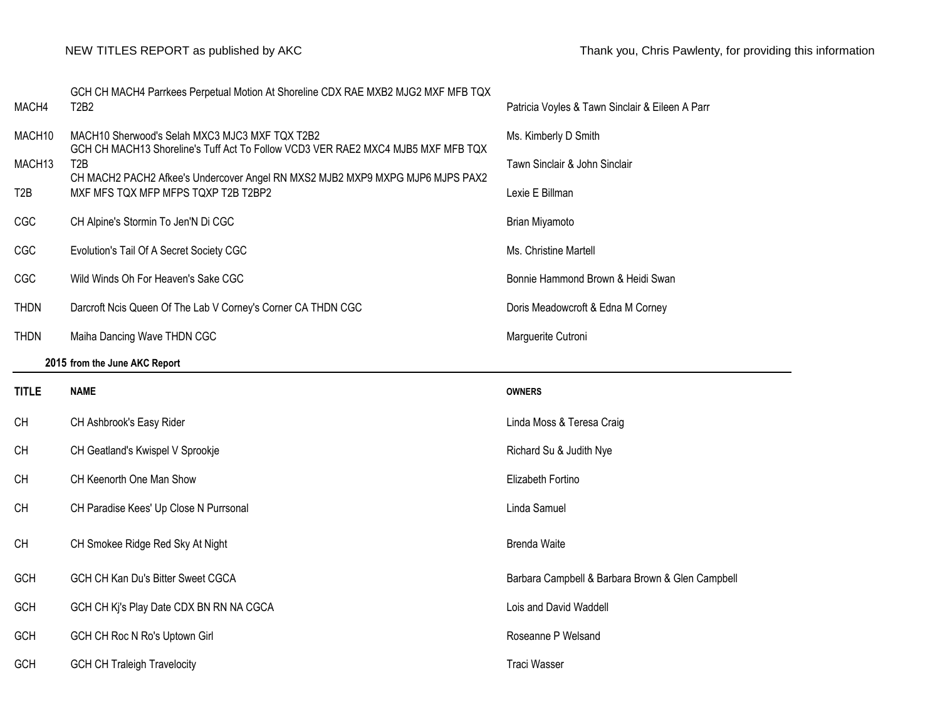| MACH4              | GCH CH MACH4 Parrkees Perpetual Motion At Shoreline CDX RAE MXB2 MJG2 MXF MFB TQX<br><b>T2B2</b>                                   |                                                  |
|--------------------|------------------------------------------------------------------------------------------------------------------------------------|--------------------------------------------------|
|                    |                                                                                                                                    | Patricia Voyles & Tawn Sinclair & Eileen A Parr  |
| MACH10             | MACH10 Sherwood's Selah MXC3 MJC3 MXF TQX T2B2<br>GCH CH MACH13 Shoreline's Tuff Act To Follow VCD3 VER RAE2 MXC4 MJB5 MXF MFB TQX | Ms. Kimberly D Smith                             |
| MACH <sub>13</sub> | T <sub>2</sub> B<br>CH MACH2 PACH2 Afkee's Undercover Angel RN MXS2 MJB2 MXP9 MXPG MJP6 MJPS PAX2                                  | Tawn Sinclair & John Sinclair                    |
| T <sub>2</sub> B   | MXF MFS TQX MFP MFPS TQXP T2B T2BP2                                                                                                | Lexie E Billman                                  |
| CGC                | CH Alpine's Stormin To Jen'N Di CGC                                                                                                | Brian Miyamoto                                   |
| CGC                | Evolution's Tail Of A Secret Society CGC                                                                                           | Ms. Christine Martell                            |
| CGC                | Wild Winds Oh For Heaven's Sake CGC                                                                                                | Bonnie Hammond Brown & Heidi Swan                |
| <b>THDN</b>        | Darcroft Ncis Queen Of The Lab V Corney's Corner CA THDN CGC                                                                       | Doris Meadowcroft & Edna M Corney                |
| <b>THDN</b>        | Maiha Dancing Wave THDN CGC                                                                                                        | Marguerite Cutroni                               |
|                    | 2015 from the June AKC Report                                                                                                      |                                                  |
|                    |                                                                                                                                    |                                                  |
| <b>TITLE</b>       | <b>NAME</b>                                                                                                                        | <b>OWNERS</b>                                    |
| <b>CH</b>          | CH Ashbrook's Easy Rider                                                                                                           | Linda Moss & Teresa Craig                        |
| <b>CH</b>          | CH Geatland's Kwispel V Sprookje                                                                                                   | Richard Su & Judith Nye                          |
| <b>CH</b>          | CH Keenorth One Man Show                                                                                                           | Elizabeth Fortino                                |
| <b>CH</b>          | CH Paradise Kees' Up Close N Purrsonal                                                                                             | Linda Samuel                                     |
| <b>CH</b>          | CH Smokee Ridge Red Sky At Night                                                                                                   | <b>Brenda Waite</b>                              |
| GCH                | GCH CH Kan Du's Bitter Sweet CGCA                                                                                                  | Barbara Campbell & Barbara Brown & Glen Campbell |
| GCH                | GCH CH Ki's Play Date CDX BN RN NA CGCA                                                                                            | Lois and David Waddell                           |
| GCH                | GCH CH Roc N Ro's Uptown Girl                                                                                                      | Roseanne P Welsand                               |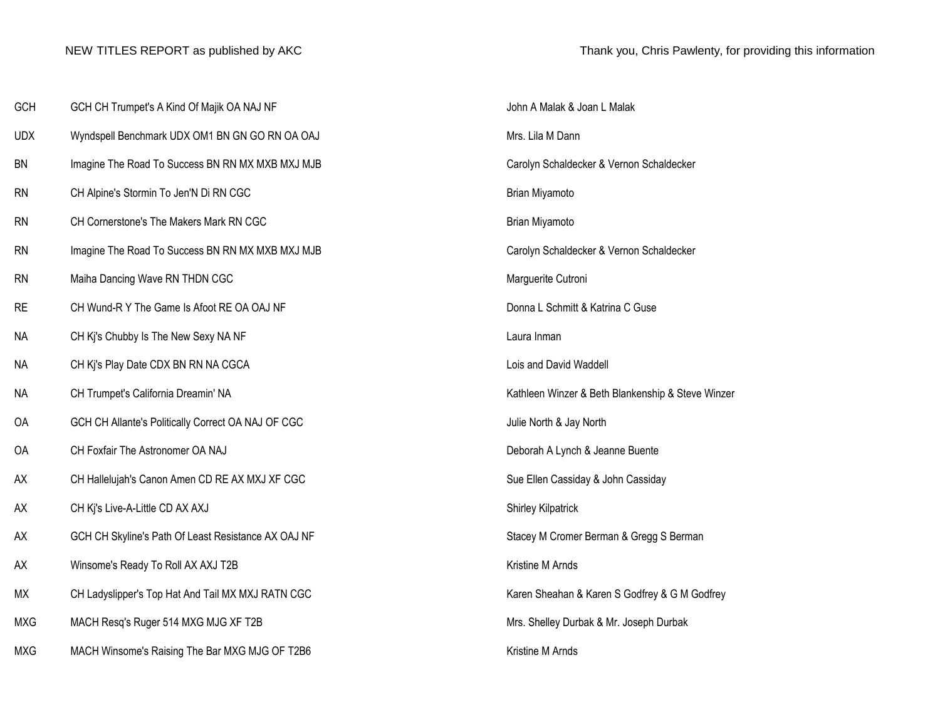| GCH        | GCH CH Trumpet's A Kind Of Majik OA NAJ NF          | John A Malak & Joan L Malak                       |
|------------|-----------------------------------------------------|---------------------------------------------------|
| <b>UDX</b> | Wyndspell Benchmark UDX OM1 BN GN GO RN OA OAJ      | Mrs. Lila M Dann                                  |
| <b>BN</b>  | Imagine The Road To Success BN RN MX MXB MXJ MJB    | Carolyn Schaldecker & Vernon Schaldecker          |
| <b>RN</b>  | CH Alpine's Stormin To Jen'N Di RN CGC              | Brian Miyamoto                                    |
| <b>RN</b>  | CH Cornerstone's The Makers Mark RN CGC             | Brian Miyamoto                                    |
| <b>RN</b>  | Imagine The Road To Success BN RN MX MXB MXJ MJB    | Carolyn Schaldecker & Vernon Schaldecker          |
| <b>RN</b>  | Maiha Dancing Wave RN THDN CGC                      | Marguerite Cutroni                                |
| <b>RE</b>  | CH Wund-R Y The Game Is Afoot RE OA OAJ NF          | Donna L Schmitt & Katrina C Guse                  |
| <b>NA</b>  | CH Kj's Chubby Is The New Sexy NA NF                | Laura Inman                                       |
| NA         | CH Kj's Play Date CDX BN RN NA CGCA                 | Lois and David Waddell                            |
| <b>NA</b>  | CH Trumpet's California Dreamin' NA                 | Kathleen Winzer & Beth Blankenship & Steve Winzer |
| <b>OA</b>  | GCH CH Allante's Politically Correct OA NAJ OF CGC  | Julie North & Jay North                           |
| OA         | CH Foxfair The Astronomer OA NAJ                    | Deborah A Lynch & Jeanne Buente                   |
| AX         | CH Hallelujah's Canon Amen CD RE AX MXJ XF CGC      | Sue Ellen Cassiday & John Cassiday                |
| AX         | CH Ki's Live-A-Little CD AX AXJ                     | <b>Shirley Kilpatrick</b>                         |
| AX         | GCH CH Skyline's Path Of Least Resistance AX OAJ NF | Stacey M Cromer Berman & Gregg S Berman           |
| AX         | Winsome's Ready To Roll AX AXJ T2B                  | Kristine M Arnds                                  |
| MX         | CH Ladyslipper's Top Hat And Tail MX MXJ RATN CGC   | Karen Sheahan & Karen S Godfrey & G M Godfrey     |
| <b>MXG</b> | MACH Resq's Ruger 514 MXG MJG XF T2B                | Mrs. Shelley Durbak & Mr. Joseph Durbak           |
| <b>MXG</b> | MACH Winsome's Raising The Bar MXG MJG OF T2B6      | Kristine M Arnds                                  |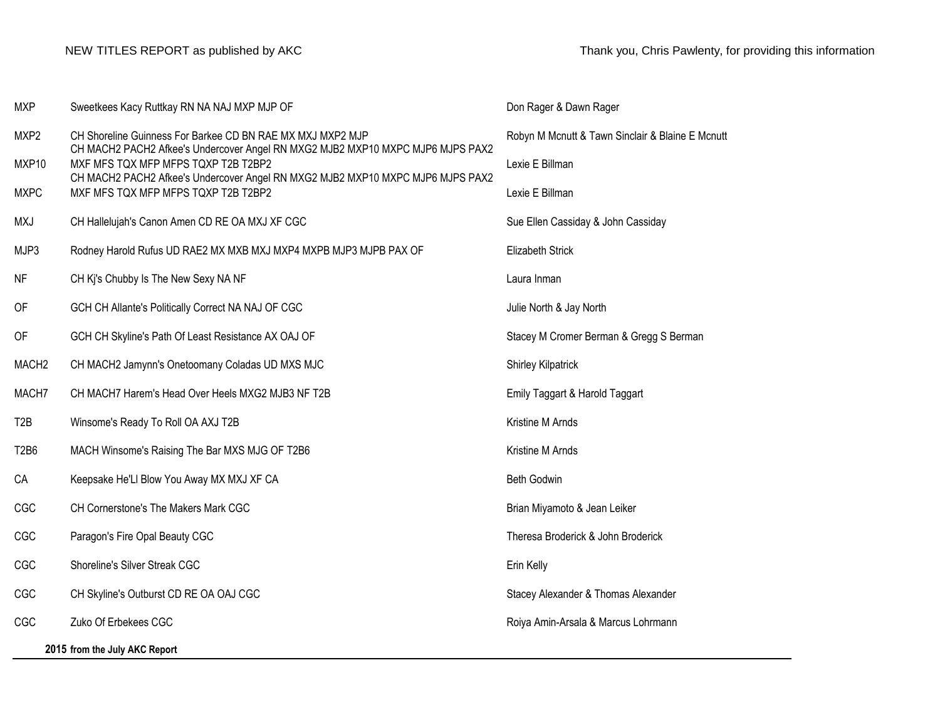| <b>MXP</b>        | Sweetkees Kacy Ruttkay RN NA NAJ MXP MJP OF                                                                                                  | Don Rager & Dawn Rager                           |
|-------------------|----------------------------------------------------------------------------------------------------------------------------------------------|--------------------------------------------------|
| MXP2              | CH Shoreline Guinness For Barkee CD BN RAE MX MXJ MXP2 MJP<br>CH MACH2 PACH2 Afkee's Undercover Angel RN MXG2 MJB2 MXP10 MXPC MJP6 MJPS PAX2 | Robyn M Mcnutt & Tawn Sinclair & Blaine E Mcnutt |
| MXP10             | MXF MFS TQX MFP MFPS TQXP T2B T2BP2<br>CH MACH2 PACH2 Afkee's Undercover Angel RN MXG2 MJB2 MXP10 MXPC MJP6 MJPS PAX2                        | Lexie E Billman                                  |
| <b>MXPC</b>       | MXF MFS TQX MFP MFPS TQXP T2B T2BP2                                                                                                          | Lexie E Billman                                  |
| <b>MXJ</b>        | CH Hallelujah's Canon Amen CD RE OA MXJ XF CGC                                                                                               | Sue Ellen Cassiday & John Cassiday               |
| MJP3              | Rodney Harold Rufus UD RAE2 MX MXB MXJ MXP4 MXPB MJP3 MJPB PAX OF                                                                            | Elizabeth Strick                                 |
| <b>NF</b>         | CH Ki's Chubby Is The New Sexy NA NF                                                                                                         | Laura Inman                                      |
| OF                | GCH CH Allante's Politically Correct NA NAJ OF CGC                                                                                           | Julie North & Jay North                          |
| OF                | GCH CH Skyline's Path Of Least Resistance AX OAJ OF                                                                                          | Stacey M Cromer Berman & Gregg S Berman          |
| MACH <sub>2</sub> | CH MACH2 Jamynn's Onetoomany Coladas UD MXS MJC                                                                                              | <b>Shirley Kilpatrick</b>                        |
| MACH7             | CH MACH7 Harem's Head Over Heels MXG2 MJB3 NF T2B                                                                                            | Emily Taggart & Harold Taggart                   |
| T <sub>2</sub> B  | Winsome's Ready To Roll OA AXJ T2B                                                                                                           | Kristine M Arnds                                 |
| <b>T2B6</b>       | MACH Winsome's Raising The Bar MXS MJG OF T2B6                                                                                               | Kristine M Arnds                                 |
| CA                | Keepsake He'Ll Blow You Away MX MXJ XF CA                                                                                                    | Beth Godwin                                      |
| CGC               | CH Cornerstone's The Makers Mark CGC                                                                                                         | Brian Miyamoto & Jean Leiker                     |
| CGC               | Paragon's Fire Opal Beauty CGC                                                                                                               | Theresa Broderick & John Broderick               |
| CGC               | Shoreline's Silver Streak CGC                                                                                                                | Erin Kelly                                       |
| CGC               | CH Skyline's Outburst CD RE OA OAJ CGC                                                                                                       | Stacey Alexander & Thomas Alexander              |
| CGC               | Zuko Of Erbekees CGC                                                                                                                         | Roiya Amin-Arsala & Marcus Lohrmann              |
|                   | 2015 from the July AKC Report                                                                                                                |                                                  |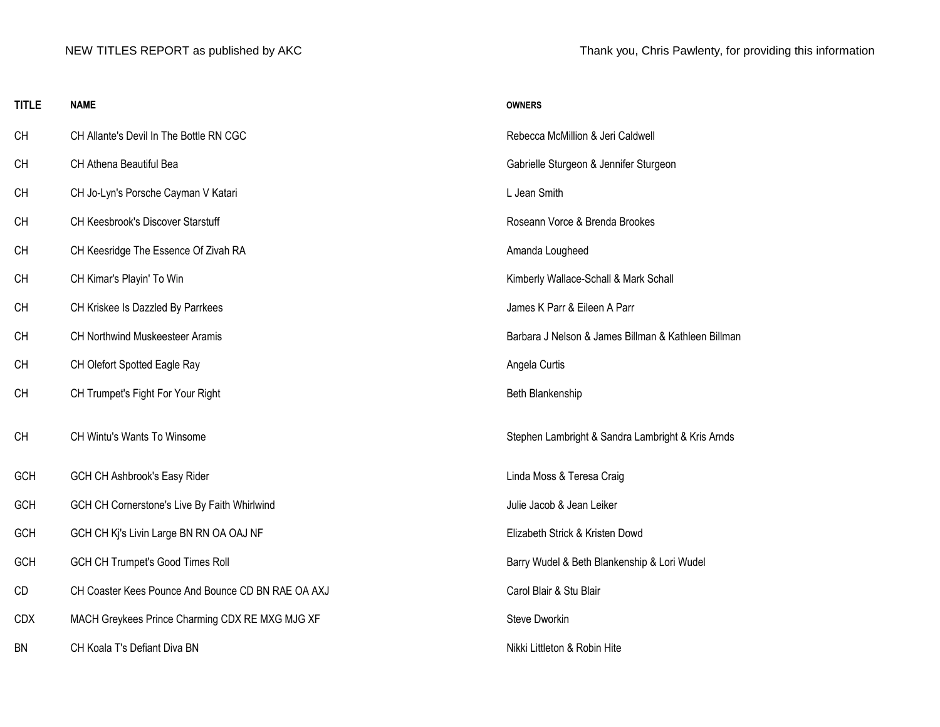| <b>TITLE</b> | <b>NAME</b>                                        | <b>OWNERS</b>                                       |
|--------------|----------------------------------------------------|-----------------------------------------------------|
| CH           | CH Allante's Devil In The Bottle RN CGC            | Rebecca McMillion & Jeri Caldwell                   |
| <b>CH</b>    | CH Athena Beautiful Bea                            | Gabrielle Sturgeon & Jennifer Sturgeon              |
| <b>CH</b>    | CH Jo-Lyn's Porsche Cayman V Katari                | L Jean Smith                                        |
| <b>CH</b>    | CH Keesbrook's Discover Starstuff                  | Roseann Vorce & Brenda Brookes                      |
| <b>CH</b>    | CH Keesridge The Essence Of Zivah RA               | Amanda Lougheed                                     |
| <b>CH</b>    | CH Kimar's Playin' To Win                          | Kimberly Wallace-Schall & Mark Schall               |
| <b>CH</b>    | CH Kriskee Is Dazzled By Parrkees                  | James K Parr & Eileen A Parr                        |
| <b>CH</b>    | <b>CH Northwind Muskeesteer Aramis</b>             | Barbara J Nelson & James Billman & Kathleen Billman |
| CH           | CH Olefort Spotted Eagle Ray                       | Angela Curtis                                       |
| CH           | CH Trumpet's Fight For Your Right                  | Beth Blankenship                                    |
| <b>CH</b>    | CH Wintu's Wants To Winsome                        | Stephen Lambright & Sandra Lambright & Kris Arnds   |
| GCH          | GCH CH Ashbrook's Easy Rider                       | Linda Moss & Teresa Craig                           |
| GCH          | GCH CH Cornerstone's Live By Faith Whirlwind       | Julie Jacob & Jean Leiker                           |
| GCH          | GCH CH Kj's Livin Large BN RN OA OAJ NF            | Elizabeth Strick & Kristen Dowd                     |
| GCH          | GCH CH Trumpet's Good Times Roll                   | Barry Wudel & Beth Blankenship & Lori Wudel         |
| CD           | CH Coaster Kees Pounce And Bounce CD BN RAE OA AXJ | Carol Blair & Stu Blair                             |
| <b>CDX</b>   | MACH Greykees Prince Charming CDX RE MXG MJG XF    | Steve Dworkin                                       |
| BN           | CH Koala T's Defiant Diva BN                       | Nikki Littleton & Robin Hite                        |
|              |                                                    |                                                     |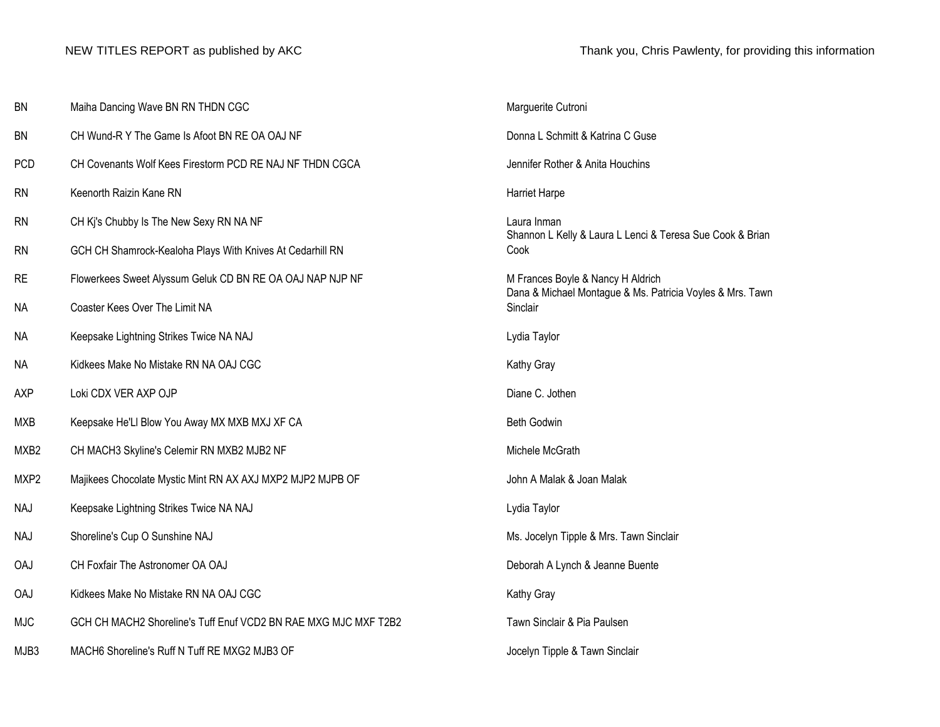| BN               | Maiha Dancing Wave BN RN THDN CGC                               | Marguerite Cutroni                                                    |
|------------------|-----------------------------------------------------------------|-----------------------------------------------------------------------|
| <b>BN</b>        | CH Wund-R Y The Game Is Afoot BN RE OA OAJ NF                   | Donna L Schmitt & Katrina C Guse                                      |
| <b>PCD</b>       | CH Covenants Wolf Kees Firestorm PCD RE NAJ NF THDN CGCA        | Jennifer Rother & Anita Houchins                                      |
| <b>RN</b>        | Keenorth Raizin Kane RN                                         | Harriet Harpe                                                         |
| <b>RN</b>        | CH Kj's Chubby Is The New Sexy RN NA NF                         | Laura Inman                                                           |
| <b>RN</b>        | GCH CH Shamrock-Kealoha Plays With Knives At Cedarhill RN       | Shannon L Kelly & Laura L Lenci & Teresa Sue Cook & Brian<br>Cook     |
| <b>RE</b>        | Flowerkees Sweet Alyssum Geluk CD BN RE OA OAJ NAP NJP NF       | M Frances Boyle & Nancy H Aldrich                                     |
| <b>NA</b>        | Coaster Kees Over The Limit NA                                  | Dana & Michael Montague & Ms. Patricia Voyles & Mrs. Tawn<br>Sinclair |
| <b>NA</b>        | Keepsake Lightning Strikes Twice NA NAJ                         | Lydia Taylor                                                          |
| <b>NA</b>        | Kidkees Make No Mistake RN NA OAJ CGC                           | Kathy Gray                                                            |
| AXP              | Loki CDX VER AXP OJP                                            | Diane C. Jothen                                                       |
| <b>MXB</b>       | Keepsake He'Ll Blow You Away MX MXB MXJ XF CA                   | <b>Beth Godwin</b>                                                    |
| MXB <sub>2</sub> | CH MACH3 Skyline's Celemir RN MXB2 MJB2 NF                      | Michele McGrath                                                       |
| MXP2             | Majikees Chocolate Mystic Mint RN AX AXJ MXP2 MJP2 MJPB OF      | John A Malak & Joan Malak                                             |
| <b>NAJ</b>       | Keepsake Lightning Strikes Twice NA NAJ                         | Lydia Taylor                                                          |
| <b>NAJ</b>       | Shoreline's Cup O Sunshine NAJ                                  | Ms. Jocelyn Tipple & Mrs. Tawn Sinclair                               |
| <b>OAJ</b>       | CH Foxfair The Astronomer OA OAJ                                | Deborah A Lynch & Jeanne Buente                                       |
| <b>OAJ</b>       | Kidkees Make No Mistake RN NA OAJ CGC                           | Kathy Gray                                                            |
| <b>MJC</b>       | GCH CH MACH2 Shoreline's Tuff Enuf VCD2 BN RAE MXG MJC MXF T2B2 | Tawn Sinclair & Pia Paulsen                                           |
| MJB3             | MACH6 Shoreline's Ruff N Tuff RE MXG2 MJB3 OF                   | Jocelyn Tipple & Tawn Sinclair                                        |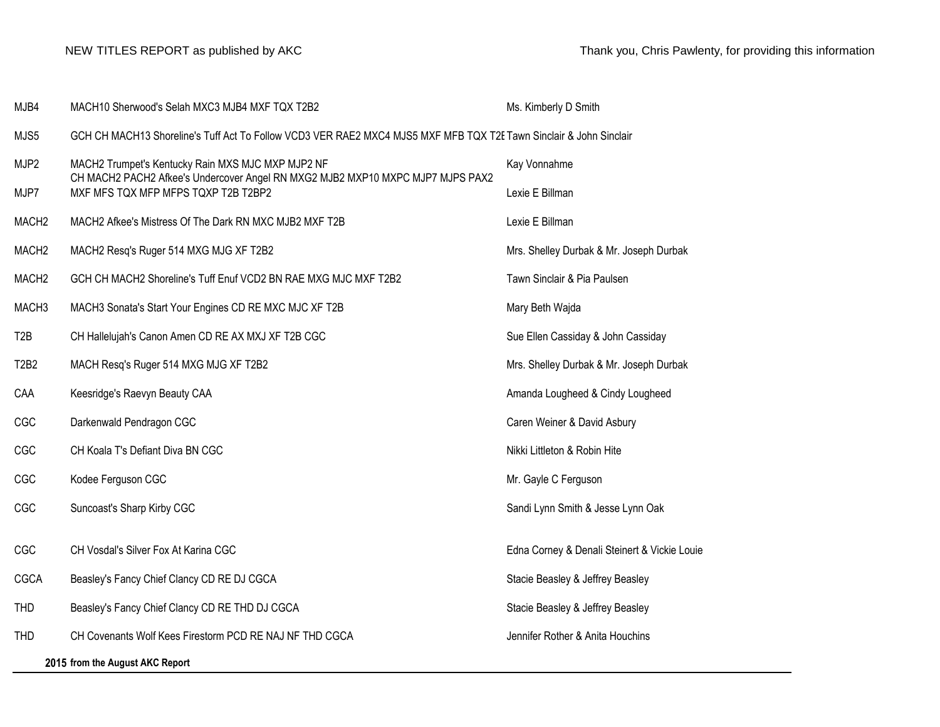| MJB4              | MACH10 Sherwood's Selah MXC3 MJB4 MXF TQX T2B2                                                                                      | Ms. Kimberly D Smith                         |
|-------------------|-------------------------------------------------------------------------------------------------------------------------------------|----------------------------------------------|
| MJS5              | GCH CH MACH13 Shoreline's Tuff Act To Follow VCD3 VER RAE2 MXC4 MJS5 MXF MFB TQX T2E Tawn Sinclair & John Sinclair                  |                                              |
| MJP2              | MACH2 Trumpet's Kentucky Rain MXS MJC MXP MJP2 NF<br>CH MACH2 PACH2 Afkee's Undercover Angel RN MXG2 MJB2 MXP10 MXPC MJP7 MJPS PAX2 | Kay Vonnahme                                 |
| MJP7              | MXF MFS TQX MFP MFPS TQXP T2B T2BP2                                                                                                 | Lexie E Billman                              |
| MACH <sub>2</sub> | MACH2 Afkee's Mistress Of The Dark RN MXC MJB2 MXF T2B                                                                              | Lexie E Billman                              |
| MACH <sub>2</sub> | MACH2 Resq's Ruger 514 MXG MJG XF T2B2                                                                                              | Mrs. Shelley Durbak & Mr. Joseph Durbak      |
| MACH <sub>2</sub> | GCH CH MACH2 Shoreline's Tuff Enuf VCD2 BN RAE MXG MJC MXF T2B2                                                                     | Tawn Sinclair & Pia Paulsen                  |
| MACH <sub>3</sub> | MACH3 Sonata's Start Your Engines CD RE MXC MJC XF T2B                                                                              | Mary Beth Wajda                              |
| T <sub>2</sub> B  | CH Hallelujah's Canon Amen CD RE AX MXJ XF T2B CGC                                                                                  | Sue Ellen Cassiday & John Cassiday           |
| T2B2              | MACH Resq's Ruger 514 MXG MJG XF T2B2                                                                                               | Mrs. Shelley Durbak & Mr. Joseph Durbak      |
| CAA               | Keesridge's Raevyn Beauty CAA                                                                                                       | Amanda Lougheed & Cindy Lougheed             |
| CGC               | Darkenwald Pendragon CGC                                                                                                            | Caren Weiner & David Asbury                  |
| CGC               | CH Koala T's Defiant Diva BN CGC                                                                                                    | Nikki Littleton & Robin Hite                 |
| CGC               | Kodee Ferguson CGC                                                                                                                  | Mr. Gayle C Ferguson                         |
| CGC               | Suncoast's Sharp Kirby CGC                                                                                                          | Sandi Lynn Smith & Jesse Lynn Oak            |
| CGC               | CH Vosdal's Silver Fox At Karina CGC                                                                                                | Edna Corney & Denali Steinert & Vickie Louie |
| <b>CGCA</b>       | Beasley's Fancy Chief Clancy CD RE DJ CGCA                                                                                          | Stacie Beasley & Jeffrey Beasley             |
| <b>THD</b>        | Beasley's Fancy Chief Clancy CD RE THD DJ CGCA                                                                                      | Stacie Beasley & Jeffrey Beasley             |
|                   |                                                                                                                                     |                                              |
| <b>THD</b>        | CH Covenants Wolf Kees Firestorm PCD RE NAJ NF THD CGCA                                                                             | Jennifer Rother & Anita Houchins             |
|                   | 2015 from the August AKC Report                                                                                                     |                                              |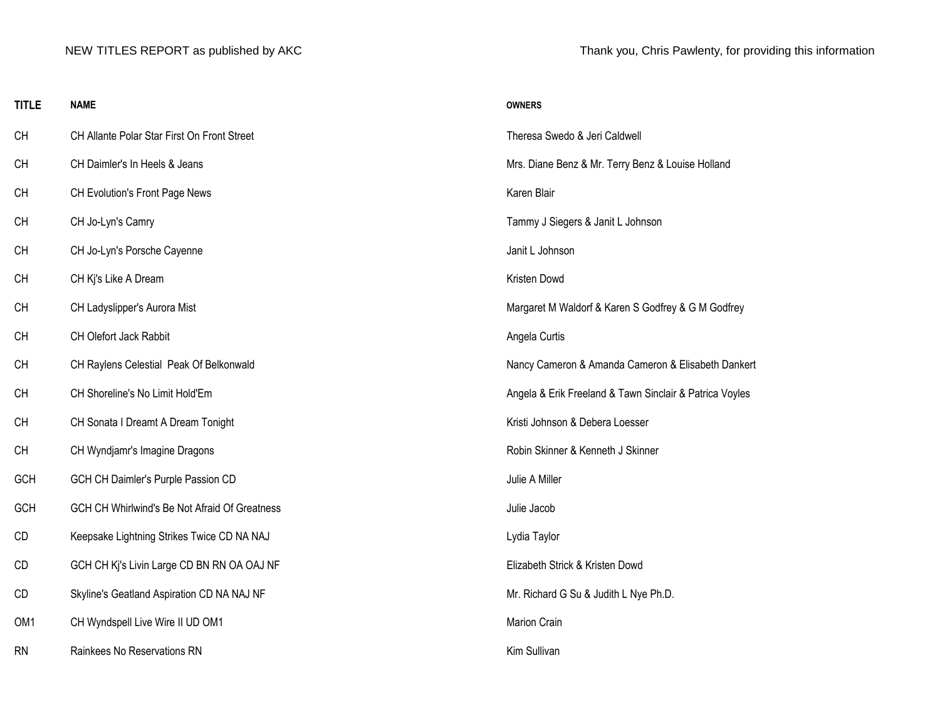| <b>TITLE</b> | <b>NAME</b>                                   | <b>OWNERS</b>                                           |
|--------------|-----------------------------------------------|---------------------------------------------------------|
| <b>CH</b>    | CH Allante Polar Star First On Front Street   | Theresa Swedo & Jeri Caldwell                           |
| <b>CH</b>    | CH Daimler's In Heels & Jeans                 | Mrs. Diane Benz & Mr. Terry Benz & Louise Holland       |
| <b>CH</b>    | CH Evolution's Front Page News                | Karen Blair                                             |
| <b>CH</b>    | CH Jo-Lyn's Camry                             | Tammy J Siegers & Janit L Johnson                       |
| <b>CH</b>    | CH Jo-Lyn's Porsche Cayenne                   | Janit L Johnson                                         |
| CH           | CH Kj's Like A Dream                          | Kristen Dowd                                            |
| CH           | CH Ladyslipper's Aurora Mist                  | Margaret M Waldorf & Karen S Godfrey & G M Godfrey      |
| CH           | CH Olefort Jack Rabbit                        | Angela Curtis                                           |
| <b>CH</b>    | CH Raylens Celestial Peak Of Belkonwald       | Nancy Cameron & Amanda Cameron & Elisabeth Dankert      |
| CH           | CH Shoreline's No Limit Hold'Em               | Angela & Erik Freeland & Tawn Sinclair & Patrica Voyles |
| CH           | CH Sonata I Dreamt A Dream Tonight            | Kristi Johnson & Debera Loesser                         |
| CH           | CH Wyndjamr's Imagine Dragons                 | Robin Skinner & Kenneth J Skinner                       |
| GCH          | GCH CH Daimler's Purple Passion CD            | Julie A Miller                                          |
| GCH          | GCH CH Whirlwind's Be Not Afraid Of Greatness | Julie Jacob                                             |
| CD           | Keepsake Lightning Strikes Twice CD NA NAJ    | Lydia Taylor                                            |
| CD           | GCH CH Kj's Livin Large CD BN RN OA OAJ NF    | Elizabeth Strick & Kristen Dowd                         |
| CD           | Skyline's Geatland Aspiration CD NA NAJ NF    | Mr. Richard G Su & Judith L Nye Ph.D.                   |
| OM1          | CH Wyndspell Live Wire II UD OM1              | Marion Crain                                            |
| <b>RN</b>    | Rainkees No Reservations RN                   | Kim Sullivan                                            |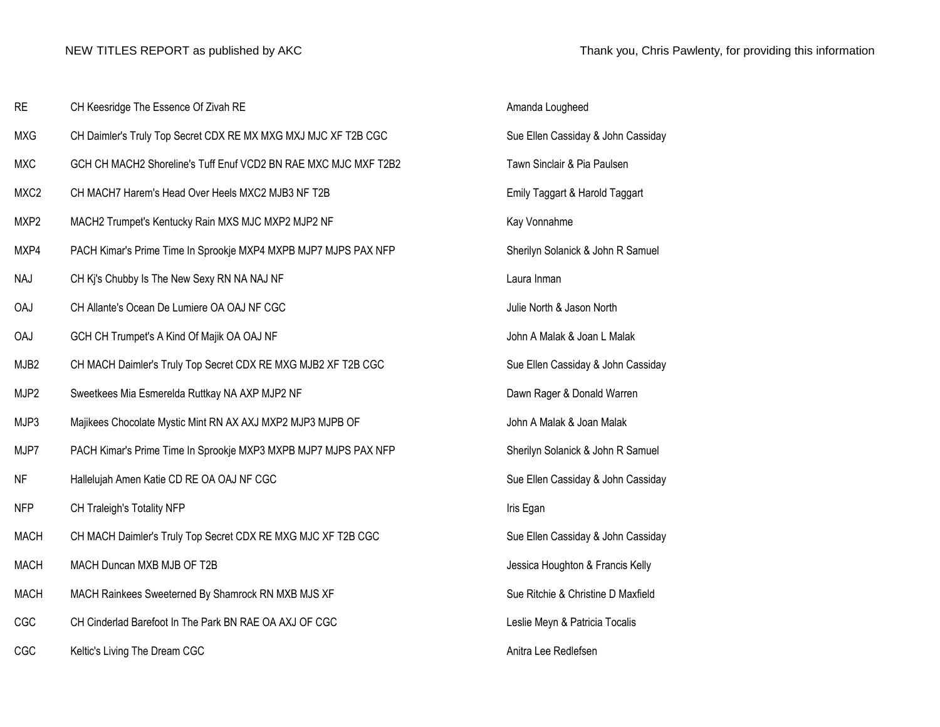| <b>RE</b>        | CH Keesridge The Essence Of Zivah RE                            | Amanda Lougheed                    |
|------------------|-----------------------------------------------------------------|------------------------------------|
| <b>MXG</b>       | CH Daimler's Truly Top Secret CDX RE MX MXG MXJ MJC XF T2B CGC  | Sue Ellen Cassiday & John Cassiday |
| <b>MXC</b>       | GCH CH MACH2 Shoreline's Tuff Enuf VCD2 BN RAE MXC MJC MXF T2B2 | Tawn Sinclair & Pia Paulsen        |
| MXC2             | CH MACH7 Harem's Head Over Heels MXC2 MJB3 NF T2B               | Emily Taggart & Harold Taggart     |
| MXP2             | MACH2 Trumpet's Kentucky Rain MXS MJC MXP2 MJP2 NF              | Kay Vonnahme                       |
| MXP4             | PACH Kimar's Prime Time In Sprookje MXP4 MXPB MJP7 MJPS PAX NFP | Sherilyn Solanick & John R Samuel  |
| NAJ              | CH Kj's Chubby Is The New Sexy RN NA NAJ NF                     | Laura Inman                        |
| <b>OAJ</b>       | CH Allante's Ocean De Lumiere OA OAJ NF CGC                     | Julie North & Jason North          |
| <b>OAJ</b>       | GCH CH Trumpet's A Kind Of Majik OA OAJ NF                      | John A Malak & Joan L Malak        |
| MJB <sub>2</sub> | CH MACH Daimler's Truly Top Secret CDX RE MXG MJB2 XF T2B CGC   | Sue Ellen Cassiday & John Cassiday |
| MJP2             | Sweetkees Mia Esmerelda Ruttkay NA AXP MJP2 NF                  | Dawn Rager & Donald Warren         |
| MJP3             | Majikees Chocolate Mystic Mint RN AX AXJ MXP2 MJP3 MJPB OF      | John A Malak & Joan Malak          |
| MJP7             | PACH Kimar's Prime Time In Sprookje MXP3 MXPB MJP7 MJPS PAX NFP | Sherilyn Solanick & John R Samuel  |
| <b>NF</b>        | Hallelujah Amen Katie CD RE OA OAJ NF CGC                       | Sue Ellen Cassiday & John Cassiday |
| <b>NFP</b>       | CH Traleigh's Totality NFP                                      | Iris Egan                          |
| <b>MACH</b>      | CH MACH Daimler's Truly Top Secret CDX RE MXG MJC XF T2B CGC    | Sue Ellen Cassiday & John Cassiday |
| <b>MACH</b>      | MACH Duncan MXB MJB OF T2B                                      | Jessica Houghton & Francis Kelly   |
| <b>MACH</b>      | MACH Rainkees Sweeterned By Shamrock RN MXB MJS XF              | Sue Ritchie & Christine D Maxfield |
| CGC              | CH Cinderlad Barefoot In The Park BN RAE OA AXJ OF CGC          | Leslie Meyn & Patricia Tocalis     |
| CGC              | Keltic's Living The Dream CGC                                   | Anitra Lee Redlefsen               |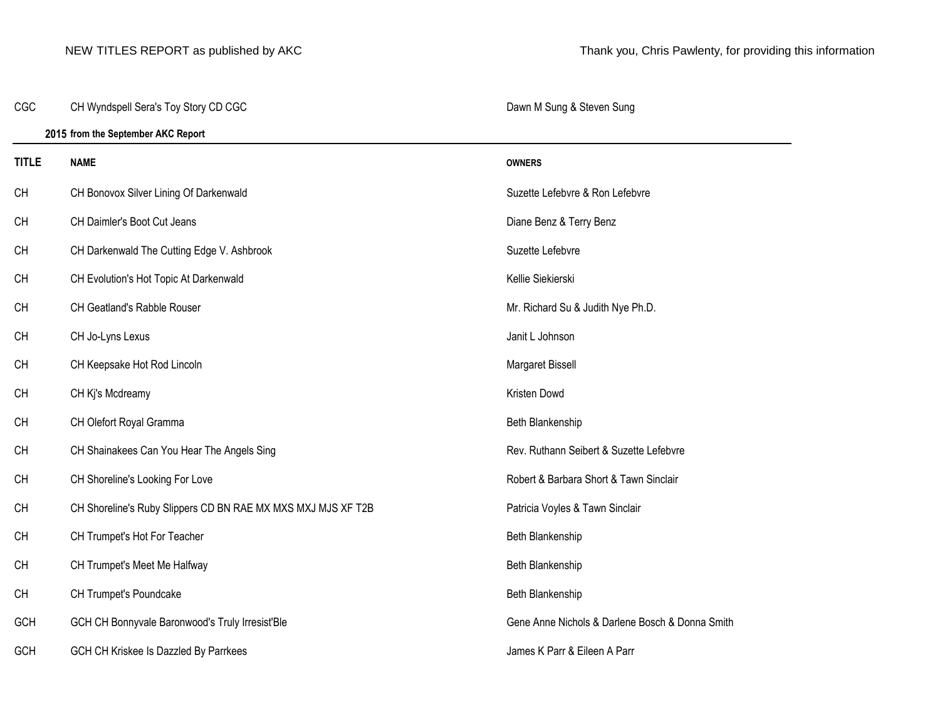| CGC          | CH Wyndspell Sera's Toy Story CD CGC                         | Dawn M Sung & Steven Sung                       |
|--------------|--------------------------------------------------------------|-------------------------------------------------|
|              | 2015 from the September AKC Report                           |                                                 |
| <b>TITLE</b> | <b>NAME</b>                                                  | <b>OWNERS</b>                                   |
| <b>CH</b>    | CH Bonovox Silver Lining Of Darkenwald                       | Suzette Lefebvre & Ron Lefebvre                 |
| <b>CH</b>    | CH Daimler's Boot Cut Jeans                                  | Diane Benz & Terry Benz                         |
| <b>CH</b>    | CH Darkenwald The Cutting Edge V. Ashbrook                   | Suzette Lefebvre                                |
| <b>CH</b>    | CH Evolution's Hot Topic At Darkenwald                       | Kellie Siekierski                               |
| <b>CH</b>    | CH Geatland's Rabble Rouser                                  | Mr. Richard Su & Judith Nye Ph.D.               |
| <b>CH</b>    | CH Jo-Lyns Lexus                                             | Janit L Johnson                                 |
| CH           | CH Keepsake Hot Rod Lincoln                                  | Margaret Bissell                                |
| <b>CH</b>    | CH Kj's Mcdreamy                                             | Kristen Dowd                                    |
| <b>CH</b>    | CH Olefort Royal Gramma                                      | Beth Blankenship                                |
| <b>CH</b>    | CH Shainakees Can You Hear The Angels Sing                   | Rev. Ruthann Seibert & Suzette Lefebvre         |
| <b>CH</b>    | CH Shoreline's Looking For Love                              | Robert & Barbara Short & Tawn Sinclair          |
| <b>CH</b>    | CH Shoreline's Ruby Slippers CD BN RAE MX MXS MXJ MJS XF T2B | Patricia Voyles & Tawn Sinclair                 |
| <b>CH</b>    | CH Trumpet's Hot For Teacher                                 | Beth Blankenship                                |
| <b>CH</b>    | CH Trumpet's Meet Me Halfway                                 | Beth Blankenship                                |
| <b>CH</b>    | CH Trumpet's Poundcake                                       | Beth Blankenship                                |
| GCH          | GCH CH Bonnyvale Baronwood's Truly Irresist'Ble              | Gene Anne Nichols & Darlene Bosch & Donna Smith |
| GCH          | GCH CH Kriskee Is Dazzled By Parrkees                        | James K Parr & Eileen A Parr                    |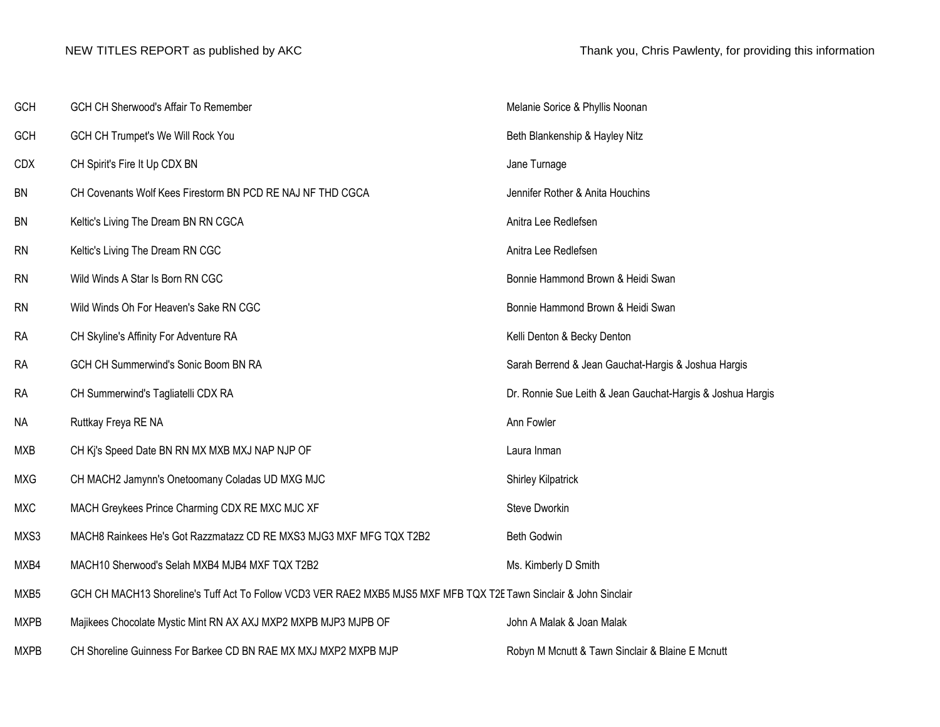| GCH         | GCH CH Sherwood's Affair To Remember                                                                               | Melanie Sorice & Phyllis Noonan                            |
|-------------|--------------------------------------------------------------------------------------------------------------------|------------------------------------------------------------|
| GCH         | GCH CH Trumpet's We Will Rock You                                                                                  | Beth Blankenship & Hayley Nitz                             |
| <b>CDX</b>  | CH Spirit's Fire It Up CDX BN                                                                                      | Jane Turnage                                               |
| <b>BN</b>   | CH Covenants Wolf Kees Firestorm BN PCD RE NAJ NF THD CGCA                                                         | Jennifer Rother & Anita Houchins                           |
| <b>BN</b>   | Keltic's Living The Dream BN RN CGCA                                                                               | Anitra Lee Redlefsen                                       |
| <b>RN</b>   | Keltic's Living The Dream RN CGC                                                                                   | Anitra Lee Redlefsen                                       |
| <b>RN</b>   | Wild Winds A Star Is Born RN CGC                                                                                   | Bonnie Hammond Brown & Heidi Swan                          |
| <b>RN</b>   | Wild Winds Oh For Heaven's Sake RN CGC                                                                             | Bonnie Hammond Brown & Heidi Swan                          |
| <b>RA</b>   | CH Skyline's Affinity For Adventure RA                                                                             | Kelli Denton & Becky Denton                                |
| <b>RA</b>   | GCH CH Summerwind's Sonic Boom BN RA                                                                               | Sarah Berrend & Jean Gauchat-Hargis & Joshua Hargis        |
| <b>RA</b>   | CH Summerwind's Tagliatelli CDX RA                                                                                 | Dr. Ronnie Sue Leith & Jean Gauchat-Hargis & Joshua Hargis |
| <b>NA</b>   | Ruttkay Freya RE NA                                                                                                | Ann Fowler                                                 |
| <b>MXB</b>  | CH Kj's Speed Date BN RN MX MXB MXJ NAP NJP OF                                                                     | Laura Inman                                                |
| <b>MXG</b>  | CH MACH2 Jamynn's Onetoomany Coladas UD MXG MJC                                                                    | <b>Shirley Kilpatrick</b>                                  |
| <b>MXC</b>  | MACH Greykees Prince Charming CDX RE MXC MJC XF                                                                    | Steve Dworkin                                              |
| MXS3        | MACH8 Rainkees He's Got Razzmatazz CD RE MXS3 MJG3 MXF MFG TQX T2B2                                                | Beth Godwin                                                |
| MXB4        | MACH10 Sherwood's Selah MXB4 MJB4 MXF TQX T2B2                                                                     | Ms. Kimberly D Smith                                       |
| MXB5        | GCH CH MACH13 Shoreline's Tuff Act To Follow VCD3 VER RAE2 MXB5 MJS5 MXF MFB TQX T2E Tawn Sinclair & John Sinclair |                                                            |
| <b>MXPB</b> | Majikees Chocolate Mystic Mint RN AX AXJ MXP2 MXPB MJP3 MJPB OF                                                    | John A Malak & Joan Malak                                  |
| <b>MXPB</b> | CH Shoreline Guinness For Barkee CD BN RAE MX MXJ MXP2 MXPB MJP                                                    | Robyn M Mcnutt & Tawn Sinclair & Blaine E Mcnutt           |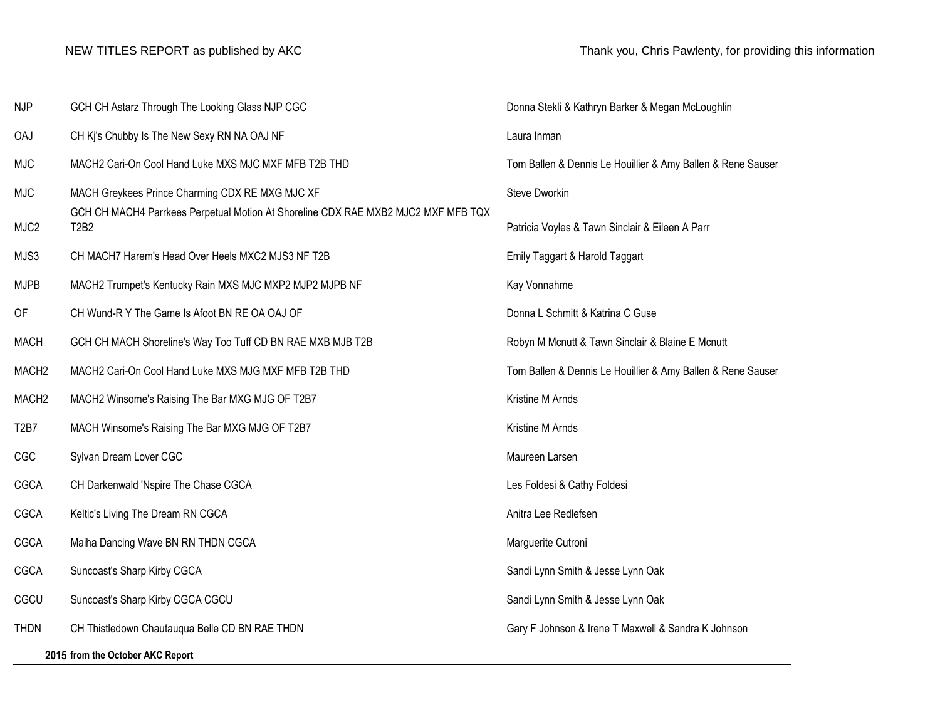| <b>NJP</b>                    | GCH CH Astarz Through The Looking Glass NJP CGC                                           | Donna Stekli & Kathryn Barker & Megan McLoughlin            |
|-------------------------------|-------------------------------------------------------------------------------------------|-------------------------------------------------------------|
| <b>OAJ</b>                    | CH Kj's Chubby Is The New Sexy RN NA OAJ NF                                               | Laura Inman                                                 |
| <b>MJC</b>                    | MACH2 Cari-On Cool Hand Luke MXS MJC MXF MFB T2B THD                                      | Tom Ballen & Dennis Le Houillier & Amy Ballen & Rene Sauser |
| <b>MJC</b>                    | MACH Greykees Prince Charming CDX RE MXG MJC XF                                           | Steve Dworkin                                               |
| MJC <sub>2</sub>              | GCH CH MACH4 Parrkees Perpetual Motion At Shoreline CDX RAE MXB2 MJC2 MXF MFB TQX<br>T2B2 | Patricia Voyles & Tawn Sinclair & Eileen A Parr             |
| MJS3                          | CH MACH7 Harem's Head Over Heels MXC2 MJS3 NF T2B                                         | Emily Taggart & Harold Taggart                              |
| <b>MJPB</b>                   | MACH2 Trumpet's Kentucky Rain MXS MJC MXP2 MJP2 MJPB NF                                   | Kay Vonnahme                                                |
| OF                            | CH Wund-R Y The Game Is Afoot BN RE OA OAJ OF                                             | Donna L Schmitt & Katrina C Guse                            |
| <b>MACH</b>                   | GCH CH MACH Shoreline's Way Too Tuff CD BN RAE MXB MJB T2B                                | Robyn M Mcnutt & Tawn Sinclair & Blaine E Mcnutt            |
| MACH <sub>2</sub>             | MACH2 Cari-On Cool Hand Luke MXS MJG MXF MFB T2B THD                                      | Tom Ballen & Dennis Le Houillier & Amy Ballen & Rene Sauser |
| MACH <sub>2</sub>             | MACH2 Winsome's Raising The Bar MXG MJG OF T2B7                                           | Kristine M Arnds                                            |
| T <sub>2</sub> B <sub>7</sub> | MACH Winsome's Raising The Bar MXG MJG OF T2B7                                            | Kristine M Arnds                                            |
| <b>CGC</b>                    | Sylvan Dream Lover CGC                                                                    | Maureen Larsen                                              |
| <b>CGCA</b>                   | CH Darkenwald 'Nspire The Chase CGCA                                                      | Les Foldesi & Cathy Foldesi                                 |
| CGCA                          | Keltic's Living The Dream RN CGCA                                                         | Anitra Lee Redlefsen                                        |
| CGCA                          | Maiha Dancing Wave BN RN THDN CGCA                                                        | Marguerite Cutroni                                          |
| <b>CGCA</b>                   | Suncoast's Sharp Kirby CGCA                                                               | Sandi Lynn Smith & Jesse Lynn Oak                           |
| CGCU                          | Suncoast's Sharp Kirby CGCA CGCU                                                          | Sandi Lynn Smith & Jesse Lynn Oak                           |
| <b>THDN</b>                   | CH Thistledown Chautauqua Belle CD BN RAE THDN                                            | Gary F Johnson & Irene T Maxwell & Sandra K Johnson         |
|                               | 2015 from the October AKC Report                                                          |                                                             |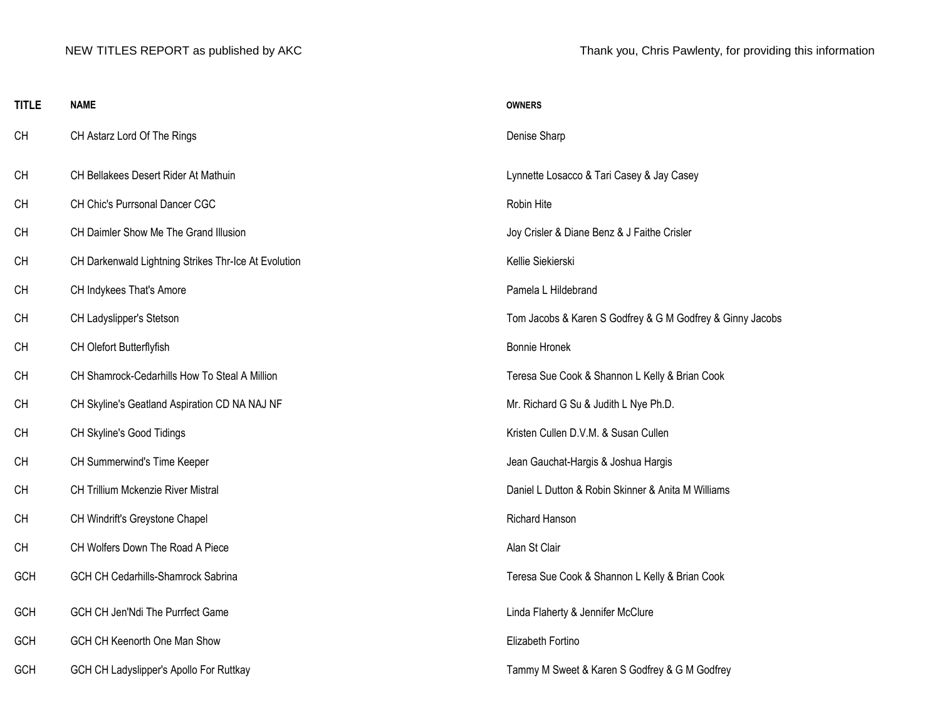| <b>TITLE</b> | <b>NAME</b>                                          | <b>OWNERS</b>                                             |
|--------------|------------------------------------------------------|-----------------------------------------------------------|
| <b>CH</b>    | CH Astarz Lord Of The Rings                          | Denise Sharp                                              |
| <b>CH</b>    | CH Bellakees Desert Rider At Mathuin                 | Lynnette Losacco & Tari Casey & Jay Casey                 |
| <b>CH</b>    | CH Chic's Purrsonal Dancer CGC                       | Robin Hite                                                |
| <b>CH</b>    | CH Daimler Show Me The Grand Illusion                | Joy Crisler & Diane Benz & J Faithe Crisler               |
| <b>CH</b>    | CH Darkenwald Lightning Strikes Thr-Ice At Evolution | Kellie Siekierski                                         |
| <b>CH</b>    | CH Indykees That's Amore                             | Pamela L Hildebrand                                       |
| <b>CH</b>    | CH Ladyslipper's Stetson                             | Tom Jacobs & Karen S Godfrey & G M Godfrey & Ginny Jacobs |
| <b>CH</b>    | CH Olefort Butterflyfish                             | <b>Bonnie Hronek</b>                                      |
| <b>CH</b>    | CH Shamrock-Cedarhills How To Steal A Million        | Teresa Sue Cook & Shannon L Kelly & Brian Cook            |
| CH           | CH Skyline's Geatland Aspiration CD NA NAJ NF        | Mr. Richard G Su & Judith L Nye Ph.D.                     |
| <b>CH</b>    | CH Skyline's Good Tidings                            | Kristen Cullen D.V.M. & Susan Cullen                      |
| <b>CH</b>    | CH Summerwind's Time Keeper                          | Jean Gauchat-Hargis & Joshua Hargis                       |
| <b>CH</b>    | CH Trillium Mckenzie River Mistral                   | Daniel L Dutton & Robin Skinner & Anita M Williams        |
| <b>CH</b>    | CH Windrift's Greystone Chapel                       | Richard Hanson                                            |
| <b>CH</b>    | CH Wolfers Down The Road A Piece                     | Alan St Clair                                             |
| GCH          | GCH CH Cedarhills-Shamrock Sabrina                   | Teresa Sue Cook & Shannon L Kelly & Brian Cook            |
| GCH          | GCH CH Jen'Ndi The Purrfect Game                     | Linda Flaherty & Jennifer McClure                         |
| GCH          | GCH CH Keenorth One Man Show                         | Elizabeth Fortino                                         |
| <b>GCH</b>   | GCH CH Ladyslipper's Apollo For Ruttkay              | Tammy M Sweet & Karen S Godfrey & G M Godfrey             |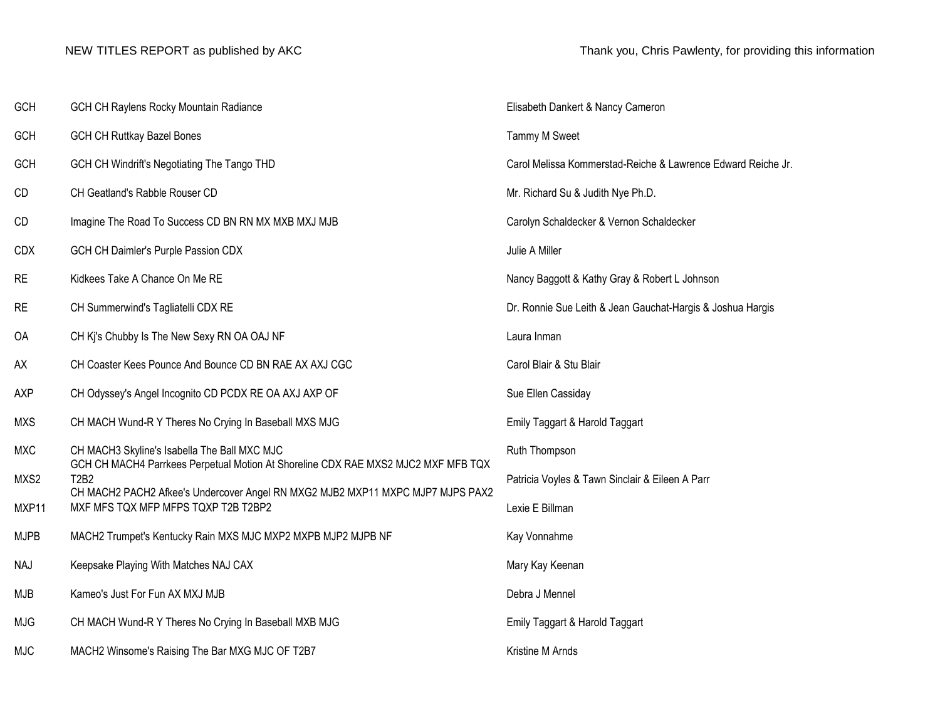| GCH         | GCH CH Raylens Rocky Mountain Radiance                                                                                            | Elisabeth Dankert & Nancy Cameron                            |
|-------------|-----------------------------------------------------------------------------------------------------------------------------------|--------------------------------------------------------------|
| <b>GCH</b>  | <b>GCH CH Ruttkay Bazel Bones</b>                                                                                                 | Tammy M Sweet                                                |
| <b>GCH</b>  | GCH CH Windrift's Negotiating The Tango THD                                                                                       | Carol Melissa Kommerstad-Reiche & Lawrence Edward Reiche Jr. |
| CD          | CH Geatland's Rabble Rouser CD                                                                                                    | Mr. Richard Su & Judith Nye Ph.D.                            |
| CD          | Imagine The Road To Success CD BN RN MX MXB MXJ MJB                                                                               | Carolyn Schaldecker & Vernon Schaldecker                     |
| <b>CDX</b>  | GCH CH Daimler's Purple Passion CDX                                                                                               | Julie A Miller                                               |
| <b>RE</b>   | Kidkees Take A Chance On Me RE                                                                                                    | Nancy Baggott & Kathy Gray & Robert L Johnson                |
| <b>RE</b>   | CH Summerwind's Tagliatelli CDX RE                                                                                                | Dr. Ronnie Sue Leith & Jean Gauchat-Hargis & Joshua Hargis   |
| 0A          | CH Kj's Chubby Is The New Sexy RN OA OAJ NF                                                                                       | Laura Inman                                                  |
| AX          | CH Coaster Kees Pounce And Bounce CD BN RAE AX AXJ CGC                                                                            | Carol Blair & Stu Blair                                      |
| AXP         | CH Odyssey's Angel Incognito CD PCDX RE OA AXJ AXP OF                                                                             | Sue Ellen Cassiday                                           |
| <b>MXS</b>  | CH MACH Wund-R Y Theres No Crying In Baseball MXS MJG                                                                             | Emily Taggart & Harold Taggart                               |
| <b>MXC</b>  | CH MACH3 Skyline's Isabella The Ball MXC MJC<br>GCH CH MACH4 Parrkees Perpetual Motion At Shoreline CDX RAE MXS2 MJC2 MXF MFB TQX | Ruth Thompson                                                |
| MXS2        | <b>T2B2</b><br>CH MACH2 PACH2 Afkee's Undercover Angel RN MXG2 MJB2 MXP11 MXPC MJP7 MJPS PAX2                                     | Patricia Voyles & Tawn Sinclair & Eileen A Parr              |
| MXP11       | MXF MFS TQX MFP MFPS TQXP T2B T2BP2                                                                                               | Lexie E Billman                                              |
| <b>MJPB</b> | MACH2 Trumpet's Kentucky Rain MXS MJC MXP2 MXPB MJP2 MJPB NF                                                                      | Kay Vonnahme                                                 |
| <b>NAJ</b>  | Keepsake Playing With Matches NAJ CAX                                                                                             | Mary Kay Keenan                                              |
| <b>MJB</b>  | Kameo's Just For Fun AX MXJ MJB                                                                                                   | Debra J Mennel                                               |
| <b>MJG</b>  | CH MACH Wund-R Y Theres No Crying In Baseball MXB MJG                                                                             | Emily Taggart & Harold Taggart                               |
| <b>MJC</b>  | MACH2 Winsome's Raising The Bar MXG MJC OF T2B7                                                                                   | Kristine M Arnds                                             |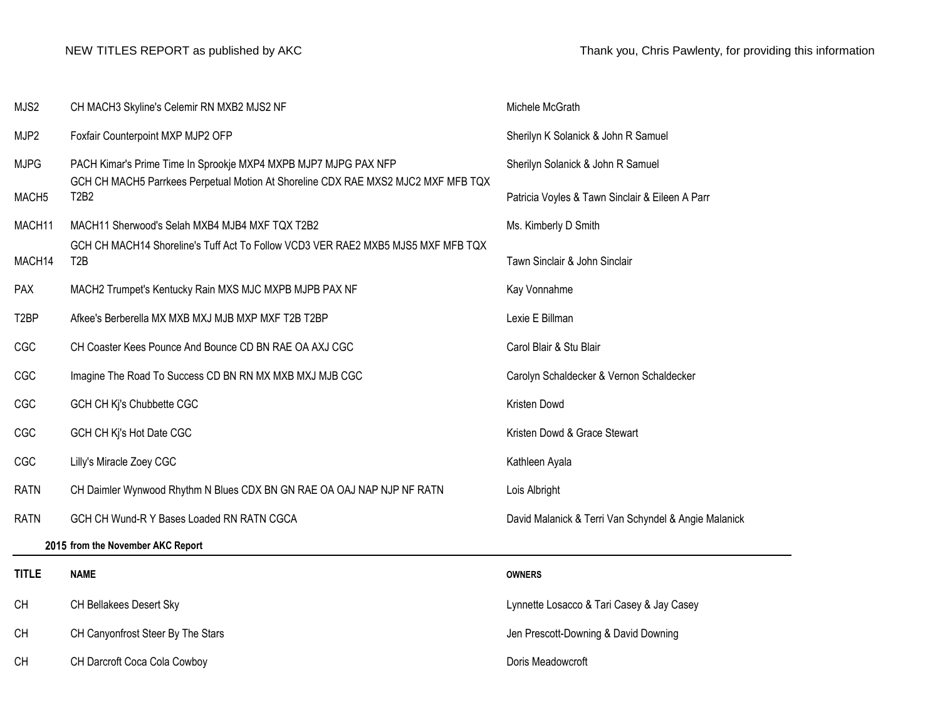| MJS2              | CH MACH3 Skyline's Celemir RN MXB2 MJS2 NF                                                           | Michele McGrath                                      |
|-------------------|------------------------------------------------------------------------------------------------------|------------------------------------------------------|
| MJP2              | Foxfair Counterpoint MXP MJP2 OFP                                                                    | Sherilyn K Solanick & John R Samuel                  |
| <b>MJPG</b>       | PACH Kimar's Prime Time In Sprookje MXP4 MXPB MJP7 MJPG PAX NFP                                      | Sherilyn Solanick & John R Samuel                    |
| MACH <sub>5</sub> | GCH CH MACH5 Parrkees Perpetual Motion At Shoreline CDX RAE MXS2 MJC2 MXF MFB TQX<br>T2B2            | Patricia Voyles & Tawn Sinclair & Eileen A Parr      |
| MACH11            | MACH11 Sherwood's Selah MXB4 MJB4 MXF TQX T2B2                                                       | Ms. Kimberly D Smith                                 |
| MACH14            | GCH CH MACH14 Shoreline's Tuff Act To Follow VCD3 VER RAE2 MXB5 MJS5 MXF MFB TQX<br>T <sub>2</sub> B | Tawn Sinclair & John Sinclair                        |
| PAX               | MACH2 Trumpet's Kentucky Rain MXS MJC MXPB MJPB PAX NF                                               | Kay Vonnahme                                         |
| T <sub>2</sub> BP | Afkee's Berberella MX MXB MXJ MJB MXP MXF T2B T2BP                                                   | Lexie E Billman                                      |
| CGC               | CH Coaster Kees Pounce And Bounce CD BN RAE OA AXJ CGC                                               | Carol Blair & Stu Blair                              |
| CGC               | Imagine The Road To Success CD BN RN MX MXB MXJ MJB CGC                                              | Carolyn Schaldecker & Vernon Schaldecker             |
| CGC               | GCH CH Kj's Chubbette CGC                                                                            | Kristen Dowd                                         |
| CGC               | GCH CH Kj's Hot Date CGC                                                                             | Kristen Dowd & Grace Stewart                         |
| CGC               | Lilly's Miracle Zoey CGC                                                                             | Kathleen Ayala                                       |
| <b>RATN</b>       | CH Daimler Wynwood Rhythm N Blues CDX BN GN RAE OA OAJ NAP NJP NF RATN                               | Lois Albright                                        |
| <b>RATN</b>       | GCH CH Wund-R Y Bases Loaded RN RATN CGCA                                                            | David Malanick & Terri Van Schyndel & Angie Malanick |
|                   | 2015 from the November AKC Report                                                                    |                                                      |
| <b>TITLE</b>      | <b>NAME</b>                                                                                          | <b>OWNERS</b>                                        |
| <b>CH</b>         | CH Bellakees Desert Sky                                                                              | Lynnette Losacco & Tari Casey & Jay Casey            |
| <b>CH</b>         | CH Canyonfrost Steer By The Stars                                                                    | Jen Prescott-Downing & David Downing                 |
| <b>CH</b>         | CH Darcroft Coca Cola Cowboy                                                                         | Doris Meadowcroft                                    |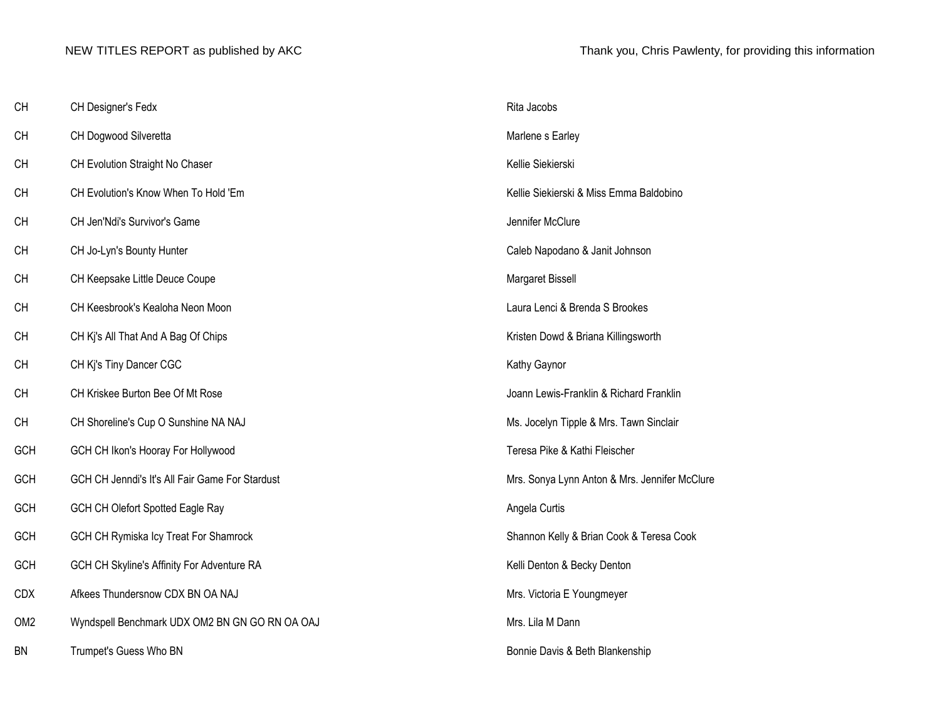| CH              | CH Designer's Fedx                              | Rita Jacobs                                   |
|-----------------|-------------------------------------------------|-----------------------------------------------|
| <b>CH</b>       | CH Dogwood Silveretta                           | Marlene s Earley                              |
| CH              | CH Evolution Straight No Chaser                 | Kellie Siekierski                             |
| CH              | CH Evolution's Know When To Hold 'Em            | Kellie Siekierski & Miss Emma Baldobino       |
| <b>CH</b>       | CH Jen'Ndi's Survivor's Game                    | Jennifer McClure                              |
| <b>CH</b>       | CH Jo-Lyn's Bounty Hunter                       | Caleb Napodano & Janit Johnson                |
| <b>CH</b>       | CH Keepsake Little Deuce Coupe                  | Margaret Bissell                              |
| CH              | CH Keesbrook's Kealoha Neon Moon                | Laura Lenci & Brenda S Brookes                |
| <b>CH</b>       | CH Ki's All That And A Bag Of Chips             | Kristen Dowd & Briana Killingsworth           |
| <b>CH</b>       | CH Ki's Tiny Dancer CGC                         | Kathy Gaynor                                  |
| <b>CH</b>       | CH Kriskee Burton Bee Of Mt Rose                | Joann Lewis-Franklin & Richard Franklin       |
| CH              | CH Shoreline's Cup O Sunshine NA NAJ            | Ms. Jocelyn Tipple & Mrs. Tawn Sinclair       |
| GCH             | GCH CH Ikon's Hooray For Hollywood              | Teresa Pike & Kathi Fleischer                 |
| GCH             | GCH CH Jenndi's It's All Fair Game For Stardust | Mrs. Sonya Lynn Anton & Mrs. Jennifer McClure |
| GCH             | GCH CH Olefort Spotted Eagle Ray                | Angela Curtis                                 |
| GCH             | GCH CH Rymiska Icy Treat For Shamrock           | Shannon Kelly & Brian Cook & Teresa Cook      |
| GCH             | GCH CH Skyline's Affinity For Adventure RA      | Kelli Denton & Becky Denton                   |
| <b>CDX</b>      | Afkees Thundersnow CDX BN OA NAJ                | Mrs. Victoria E Youngmeyer                    |
| OM <sub>2</sub> | Wyndspell Benchmark UDX OM2 BN GN GO RN OA OAJ  | Mrs. Lila M Dann                              |
| BN              | Trumpet's Guess Who BN                          | Bonnie Davis & Beth Blankenship               |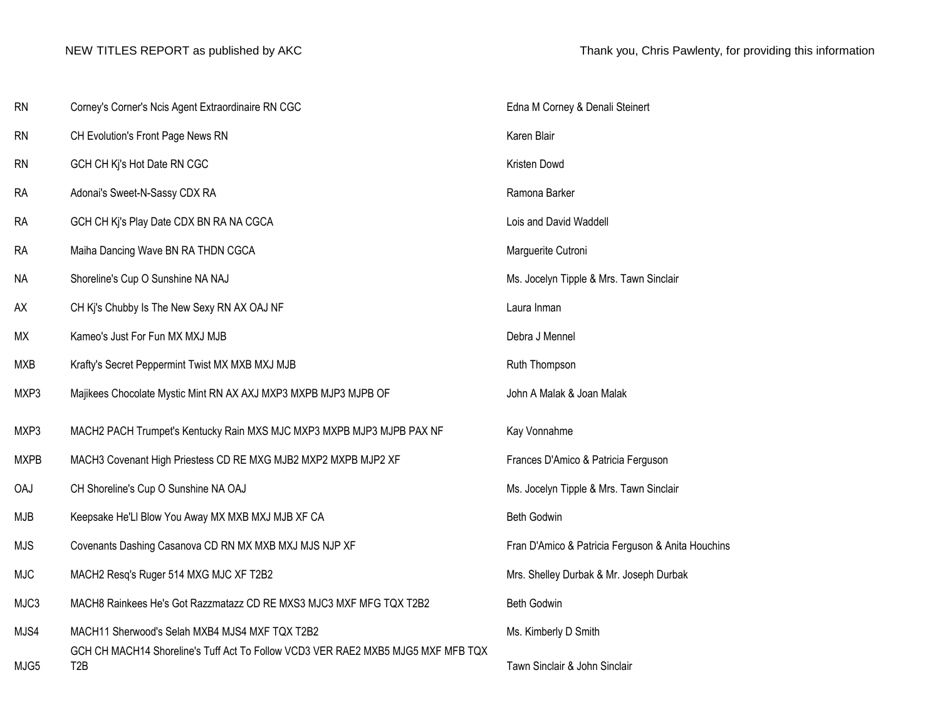| <b>RN</b>   | Corney's Corner's Ncis Agent Extraordinaire RN CGC                                                   | Edna M Corney & Denali Steinert                   |
|-------------|------------------------------------------------------------------------------------------------------|---------------------------------------------------|
| <b>RN</b>   | CH Evolution's Front Page News RN                                                                    | Karen Blair                                       |
| <b>RN</b>   | GCH CH Kj's Hot Date RN CGC                                                                          | Kristen Dowd                                      |
| <b>RA</b>   | Adonai's Sweet-N-Sassy CDX RA                                                                        | Ramona Barker                                     |
| <b>RA</b>   | GCH CH Kj's Play Date CDX BN RA NA CGCA                                                              | Lois and David Waddell                            |
| <b>RA</b>   | Maiha Dancing Wave BN RA THDN CGCA                                                                   | Marguerite Cutroni                                |
| <b>NA</b>   | Shoreline's Cup O Sunshine NA NAJ                                                                    | Ms. Jocelyn Tipple & Mrs. Tawn Sinclair           |
| AX          | CH Kj's Chubby Is The New Sexy RN AX OAJ NF                                                          | Laura Inman                                       |
| МX          | Kameo's Just For Fun MX MXJ MJB                                                                      | Debra J Mennel                                    |
| <b>MXB</b>  | Krafty's Secret Peppermint Twist MX MXB MXJ MJB                                                      | Ruth Thompson                                     |
| MXP3        | Majikees Chocolate Mystic Mint RN AX AXJ MXP3 MXPB MJP3 MJPB OF                                      | John A Malak & Joan Malak                         |
| MXP3        | MACH2 PACH Trumpet's Kentucky Rain MXS MJC MXP3 MXPB MJP3 MJPB PAX NF                                | Kay Vonnahme                                      |
| <b>MXPB</b> | MACH3 Covenant High Priestess CD RE MXG MJB2 MXP2 MXPB MJP2 XF                                       | Frances D'Amico & Patricia Ferguson               |
| <b>OAJ</b>  | CH Shoreline's Cup O Sunshine NA OAJ                                                                 | Ms. Jocelyn Tipple & Mrs. Tawn Sinclair           |
| <b>MJB</b>  | Keepsake He'LI Blow You Away MX MXB MXJ MJB XF CA                                                    | Beth Godwin                                       |
| <b>MJS</b>  | Covenants Dashing Casanova CD RN MX MXB MXJ MJS NJP XF                                               | Fran D'Amico & Patricia Ferguson & Anita Houchins |
| <b>MJC</b>  | MACH2 Resq's Ruger 514 MXG MJC XF T2B2                                                               | Mrs. Shelley Durbak & Mr. Joseph Durbak           |
| MJC3        | MACH8 Rainkees He's Got Razzmatazz CD RE MXS3 MJC3 MXF MFG TQX T2B2                                  | Beth Godwin                                       |
| MJS4        | MACH11 Sherwood's Selah MXB4 MJS4 MXF TQX T2B2                                                       | Ms. Kimberly D Smith                              |
| MJG5        | GCH CH MACH14 Shoreline's Tuff Act To Follow VCD3 VER RAE2 MXB5 MJG5 MXF MFB TQX<br>T <sub>2</sub> B | Tawn Sinclair & John Sinclair                     |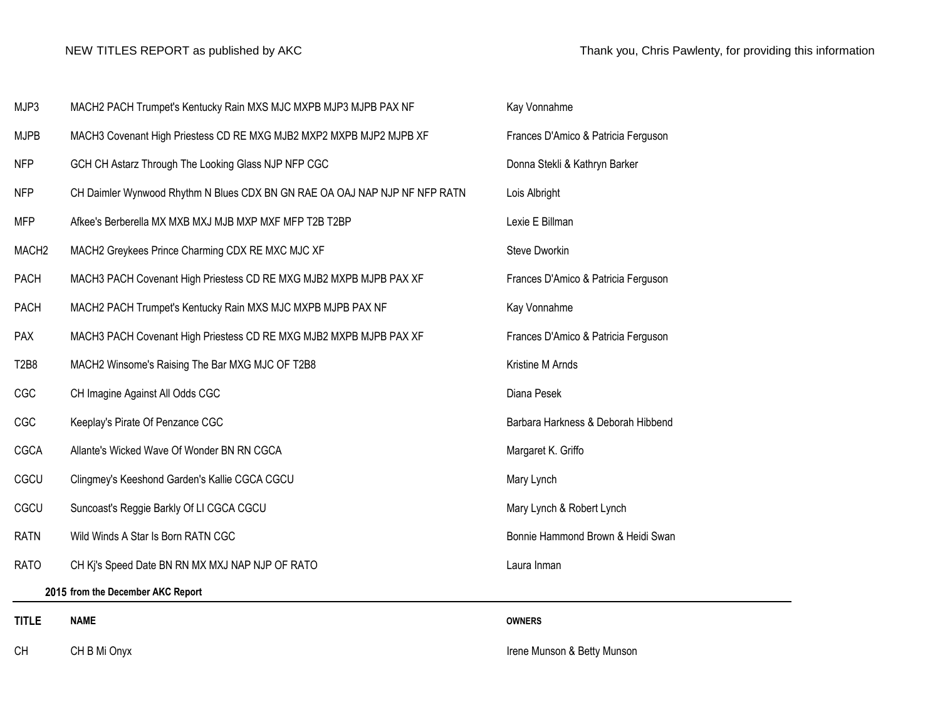| <b>TITLE</b>      | <b>NAME</b>                                                                | <b>OWNERS</b>                       |
|-------------------|----------------------------------------------------------------------------|-------------------------------------|
|                   | 2015 from the December AKC Report                                          |                                     |
| <b>RATO</b>       | CH Ki's Speed Date BN RN MX MXJ NAP NJP OF RATO                            | Laura Inman                         |
| <b>RATN</b>       | Wild Winds A Star Is Born RATN CGC                                         | Bonnie Hammond Brown & Heidi Swan   |
| CGCU              | Suncoast's Reggie Barkly Of LI CGCA CGCU                                   | Mary Lynch & Robert Lynch           |
| CGCU              | Clingmey's Keeshond Garden's Kallie CGCA CGCU                              | Mary Lynch                          |
| CGCA              | Allante's Wicked Wave Of Wonder BN RN CGCA                                 | Margaret K. Griffo                  |
| CGC               | Keeplay's Pirate Of Penzance CGC                                           | Barbara Harkness & Deborah Hibbend  |
| CGC               | CH Imagine Against All Odds CGC                                            | Diana Pesek                         |
| <b>T2B8</b>       | MACH2 Winsome's Raising The Bar MXG MJC OF T2B8                            | Kristine M Arnds                    |
| PAX               | MACH3 PACH Covenant High Priestess CD RE MXG MJB2 MXPB MJPB PAX XF         | Frances D'Amico & Patricia Ferguson |
| PACH              | MACH2 PACH Trumpet's Kentucky Rain MXS MJC MXPB MJPB PAX NF                | Kay Vonnahme                        |
| PACH              | MACH3 PACH Covenant High Priestess CD RE MXG MJB2 MXPB MJPB PAX XF         | Frances D'Amico & Patricia Ferguson |
| MACH <sub>2</sub> | MACH2 Greykees Prince Charming CDX RE MXC MJC XF                           | Steve Dworkin                       |
| <b>MFP</b>        | Afkee's Berberella MX MXB MXJ MJB MXP MXF MFP T2B T2BP                     | Lexie E Billman                     |
| <b>NFP</b>        | CH Daimler Wynwood Rhythm N Blues CDX BN GN RAE OA OAJ NAP NJP NF NFP RATN | Lois Albright                       |
| <b>NFP</b>        | GCH CH Astarz Through The Looking Glass NJP NFP CGC                        | Donna Stekli & Kathryn Barker       |
| <b>MJPB</b>       | MACH3 Covenant High Priestess CD RE MXG MJB2 MXP2 MXPB MJP2 MJPB XF        | Frances D'Amico & Patricia Ferguson |
| MJP3              | MACH2 PACH Trumpet's Kentucky Rain MXS MJC MXPB MJP3 MJPB PAX NF           | Kay Vonnahme                        |

CH CH B Mi Onyx CH B Mi Onyx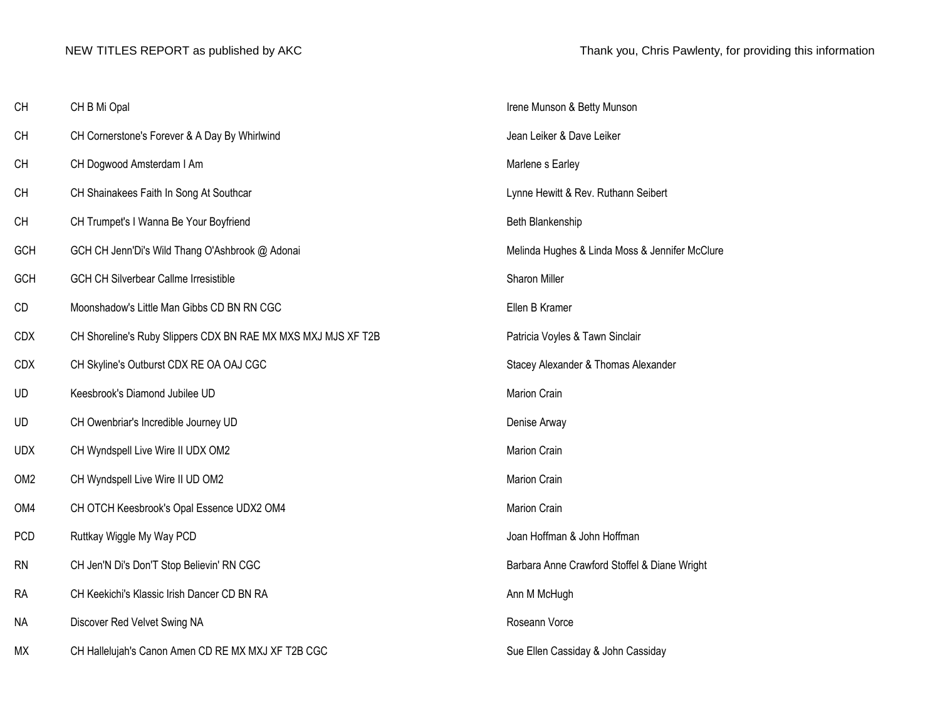| <b>CH</b>       | CH B Mi Opal                                                  | Irene Munson & Betty Munson                    |
|-----------------|---------------------------------------------------------------|------------------------------------------------|
| <b>CH</b>       | CH Cornerstone's Forever & A Day By Whirlwind                 | Jean Leiker & Dave Leiker                      |
| CH              | CH Dogwood Amsterdam I Am                                     | Marlene s Earley                               |
| CH              | CH Shainakees Faith In Song At Southcar                       | Lynne Hewitt & Rev. Ruthann Seibert            |
| <b>CH</b>       | CH Trumpet's I Wanna Be Your Boyfriend                        | Beth Blankenship                               |
| GCH             | GCH CH Jenn'Di's Wild Thang O'Ashbrook @ Adonai               | Melinda Hughes & Linda Moss & Jennifer McClure |
| GCH             | <b>GCH CH Silverbear Callme Irresistible</b>                  | Sharon Miller                                  |
| CD              | Moonshadow's Little Man Gibbs CD BN RN CGC                    | Ellen B Kramer                                 |
| <b>CDX</b>      | CH Shoreline's Ruby Slippers CDX BN RAE MX MXS MXJ MJS XF T2B | Patricia Voyles & Tawn Sinclair                |
| <b>CDX</b>      | CH Skyline's Outburst CDX RE OA OAJ CGC                       | Stacey Alexander & Thomas Alexander            |
| UD              | Keesbrook's Diamond Jubilee UD                                | Marion Crain                                   |
| UD              | CH Owenbriar's Incredible Journey UD                          | Denise Arway                                   |
| <b>UDX</b>      | CH Wyndspell Live Wire II UDX OM2                             | <b>Marion Crain</b>                            |
| OM <sub>2</sub> | CH Wyndspell Live Wire II UD OM2                              | Marion Crain                                   |
| OM4             | CH OTCH Keesbrook's Opal Essence UDX2 OM4                     | <b>Marion Crain</b>                            |
| PCD             | Ruttkay Wiggle My Way PCD                                     | Joan Hoffman & John Hoffman                    |
| <b>RN</b>       | CH Jen'N Di's Don'T Stop Believin' RN CGC                     | Barbara Anne Crawford Stoffel & Diane Wright   |
| <b>RA</b>       | CH Keekichi's Klassic Irish Dancer CD BN RA                   | Ann M McHugh                                   |
| <b>NA</b>       | Discover Red Velvet Swing NA                                  | Roseann Vorce                                  |
| МX              | CH Hallelujah's Canon Amen CD RE MX MXJ XF T2B CGC            | Sue Ellen Cassiday & John Cassiday             |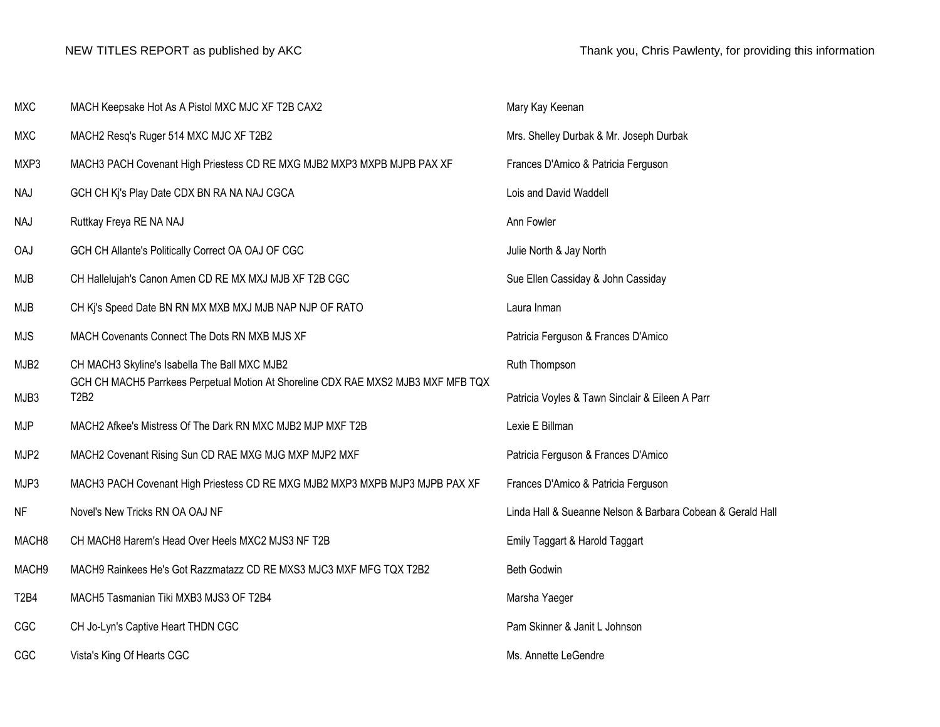| <b>MXC</b>                    | MACH Keepsake Hot As A Pistol MXC MJC XF T2B CAX2                                         | Mary Kay Keenan                                            |
|-------------------------------|-------------------------------------------------------------------------------------------|------------------------------------------------------------|
| <b>MXC</b>                    | MACH2 Resq's Ruger 514 MXC MJC XF T2B2                                                    | Mrs. Shelley Durbak & Mr. Joseph Durbak                    |
| MXP3                          | MACH3 PACH Covenant High Priestess CD RE MXG MJB2 MXP3 MXPB MJPB PAX XF                   | Frances D'Amico & Patricia Ferguson                        |
| NAJ                           | GCH CH Kj's Play Date CDX BN RA NA NAJ CGCA                                               | Lois and David Waddell                                     |
| <b>NAJ</b>                    | Ruttkay Freya RE NA NAJ                                                                   | Ann Fowler                                                 |
| <b>OAJ</b>                    | GCH CH Allante's Politically Correct OA OAJ OF CGC                                        | Julie North & Jay North                                    |
| <b>MJB</b>                    | CH Hallelujah's Canon Amen CD RE MX MXJ MJB XF T2B CGC                                    | Sue Ellen Cassiday & John Cassiday                         |
| MJB                           | CH Kj's Speed Date BN RN MX MXB MXJ MJB NAP NJP OF RATO                                   | Laura Inman                                                |
| <b>MJS</b>                    | MACH Covenants Connect The Dots RN MXB MJS XF                                             | Patricia Ferguson & Frances D'Amico                        |
| MJB <sub>2</sub>              | CH MACH3 Skyline's Isabella The Ball MXC MJB2                                             | Ruth Thompson                                              |
| MJB3                          | GCH CH MACH5 Parrkees Perpetual Motion At Shoreline CDX RAE MXS2 MJB3 MXF MFB TQX<br>T2B2 | Patricia Voyles & Tawn Sinclair & Eileen A Parr            |
| <b>MJP</b>                    | MACH2 Afkee's Mistress Of The Dark RN MXC MJB2 MJP MXF T2B                                | Lexie E Billman                                            |
| MJP2                          | MACH2 Covenant Rising Sun CD RAE MXG MJG MXP MJP2 MXF                                     | Patricia Ferguson & Frances D'Amico                        |
| MJP3                          | MACH3 PACH Covenant High Priestess CD RE MXG MJB2 MXP3 MXPB MJP3 MJPB PAX XF              | Frances D'Amico & Patricia Ferguson                        |
| <b>NF</b>                     | Novel's New Tricks RN OA OAJ NF                                                           | Linda Hall & Sueanne Nelson & Barbara Cobean & Gerald Hall |
| MACH <sub>8</sub>             | CH MACH8 Harem's Head Over Heels MXC2 MJS3 NF T2B                                         | Emily Taggart & Harold Taggart                             |
| MACH9                         | MACH9 Rainkees He's Got Razzmatazz CD RE MXS3 MJC3 MXF MFG TQX T2B2                       | Beth Godwin                                                |
| T <sub>2</sub> B <sub>4</sub> | MACH5 Tasmanian Tiki MXB3 MJS3 OF T2B4                                                    | Marsha Yaeger                                              |
| CGC                           | CH Jo-Lyn's Captive Heart THDN CGC                                                        | Pam Skinner & Janit L Johnson                              |
| CGC                           | Vista's King Of Hearts CGC                                                                | Ms. Annette LeGendre                                       |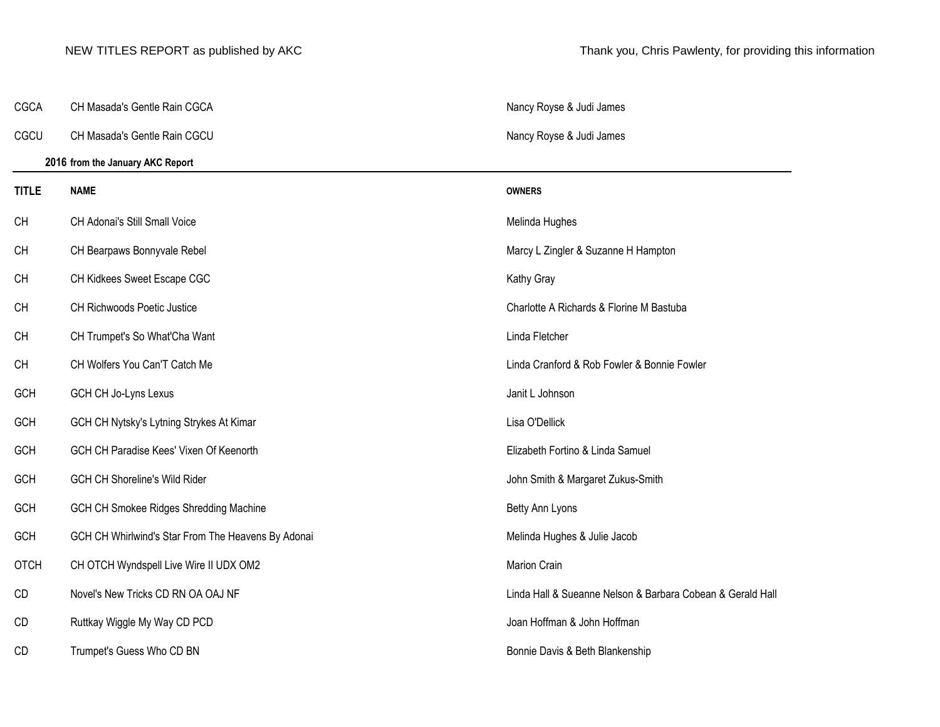| <b>CGCA</b>  | CH Masada's Gentle Rain CGCA                       | Nancy Royse & Judi James                                   |
|--------------|----------------------------------------------------|------------------------------------------------------------|
| CGCU         | CH Masada's Gentle Rain CGCU                       | Nancy Royse & Judi James                                   |
|              | 2016 from the January AKC Report                   |                                                            |
| <b>TITLE</b> | <b>NAME</b>                                        | <b>OWNERS</b>                                              |
| <b>CH</b>    | CH Adonai's Still Small Voice                      | Melinda Hughes                                             |
| <b>CH</b>    | CH Bearpaws Bonnyvale Rebel                        | Marcy L Zingler & Suzanne H Hampton                        |
| CH           | CH Kidkees Sweet Escape CGC                        | Kathy Gray                                                 |
| <b>CH</b>    | CH Richwoods Poetic Justice                        | Charlotte A Richards & Florine M Bastuba                   |
| <b>CH</b>    | CH Trumpet's So What'Cha Want                      | Linda Fletcher                                             |
| <b>CH</b>    | CH Wolfers You Can'T Catch Me                      | Linda Cranford & Rob Fowler & Bonnie Fowler                |
| <b>GCH</b>   | GCH CH Jo-Lyns Lexus                               | Janit L Johnson                                            |
| GCH          | GCH CH Nytsky's Lytning Strykes At Kimar           | Lisa O'Dellick                                             |
| <b>GCH</b>   | GCH CH Paradise Kees' Vixen Of Keenorth            | Elizabeth Fortino & Linda Samuel                           |
| <b>GCH</b>   | GCH CH Shoreline's Wild Rider                      | John Smith & Margaret Zukus-Smith                          |
| GCH          | GCH CH Smokee Ridges Shredding Machine             | Betty Ann Lyons                                            |
| <b>GCH</b>   | GCH CH Whirlwind's Star From The Heavens By Adonai | Melinda Hughes & Julie Jacob                               |
| <b>OTCH</b>  | CH OTCH Wyndspell Live Wire II UDX OM2             | Marion Crain                                               |
| CD           | Novel's New Tricks CD RN OA OAJ NF                 | Linda Hall & Sueanne Nelson & Barbara Cobean & Gerald Hall |
| CD           | Ruttkay Wiggle My Way CD PCD                       | Joan Hoffman & John Hoffman                                |
| <b>CD</b>    | Trumpet's Guess Who CD BN                          | Bonnie Davis & Beth Blankenship                            |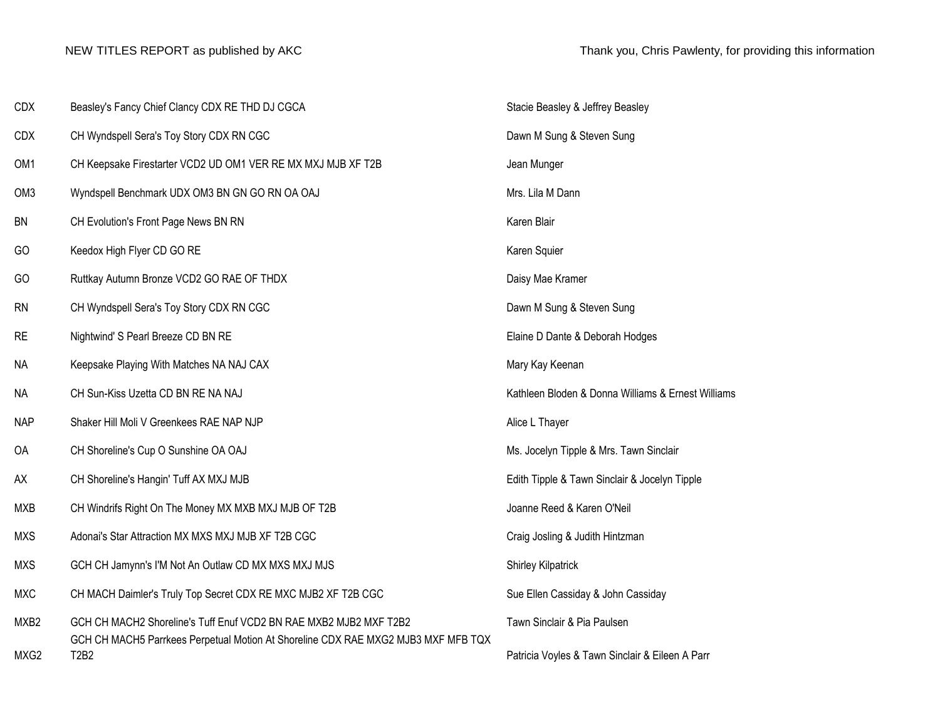| <b>CDX</b>      | Beasley's Fancy Chief Clancy CDX RE THD DJ CGCA                                           | Stacie Beasley & Jeffrey Beasley                   |
|-----------------|-------------------------------------------------------------------------------------------|----------------------------------------------------|
| <b>CDX</b>      | CH Wyndspell Sera's Toy Story CDX RN CGC                                                  | Dawn M Sung & Steven Sung                          |
| OM1             | CH Keepsake Firestarter VCD2 UD OM1 VER RE MX MXJ MJB XF T2B                              | Jean Munger                                        |
| OM <sub>3</sub> | Wyndspell Benchmark UDX OM3 BN GN GO RN OA OAJ                                            | Mrs. Lila M Dann                                   |
| BN              | CH Evolution's Front Page News BN RN                                                      | Karen Blair                                        |
| GO              | Keedox High Flyer CD GO RE                                                                | Karen Squier                                       |
| GO              | Ruttkay Autumn Bronze VCD2 GO RAE OF THDX                                                 | Daisy Mae Kramer                                   |
| <b>RN</b>       | CH Wyndspell Sera's Toy Story CDX RN CGC                                                  | Dawn M Sung & Steven Sung                          |
| <b>RE</b>       | Nightwind' S Pearl Breeze CD BN RE                                                        | Elaine D Dante & Deborah Hodges                    |
| <b>NA</b>       | Keepsake Playing With Matches NA NAJ CAX                                                  | Mary Kay Keenan                                    |
| <b>NA</b>       | CH Sun-Kiss Uzetta CD BN RE NA NAJ                                                        | Kathleen Bloden & Donna Williams & Ernest Williams |
| <b>NAP</b>      | Shaker Hill Moli V Greenkees RAE NAP NJP                                                  | Alice L Thayer                                     |
| 0A              | CH Shoreline's Cup O Sunshine OA OAJ                                                      | Ms. Jocelyn Tipple & Mrs. Tawn Sinclair            |
| AX              | CH Shoreline's Hangin' Tuff AX MXJ MJB                                                    | Edith Tipple & Tawn Sinclair & Jocelyn Tipple      |
| <b>MXB</b>      | CH Windrifs Right On The Money MX MXB MXJ MJB OF T2B                                      | Joanne Reed & Karen O'Neil                         |
| <b>MXS</b>      | Adonai's Star Attraction MX MXS MXJ MJB XF T2B CGC                                        | Craig Josling & Judith Hintzman                    |
| <b>MXS</b>      | GCH CH Jamynn's I'M Not An Outlaw CD MX MXS MXJ MJS                                       | Shirley Kilpatrick                                 |
| <b>MXC</b>      | CH MACH Daimler's Truly Top Secret CDX RE MXC MJB2 XF T2B CGC                             | Sue Ellen Cassiday & John Cassiday                 |
| MXB2            | GCH CH MACH2 Shoreline's Tuff Enuf VCD2 BN RAE MXB2 MJB2 MXF T2B2                         | Tawn Sinclair & Pia Paulsen                        |
| MXG2            | GCH CH MACH5 Parrkees Perpetual Motion At Shoreline CDX RAE MXG2 MJB3 MXF MFB TQX<br>T2B2 | Patricia Voyles & Tawn Sinclair & Eileen A Parr    |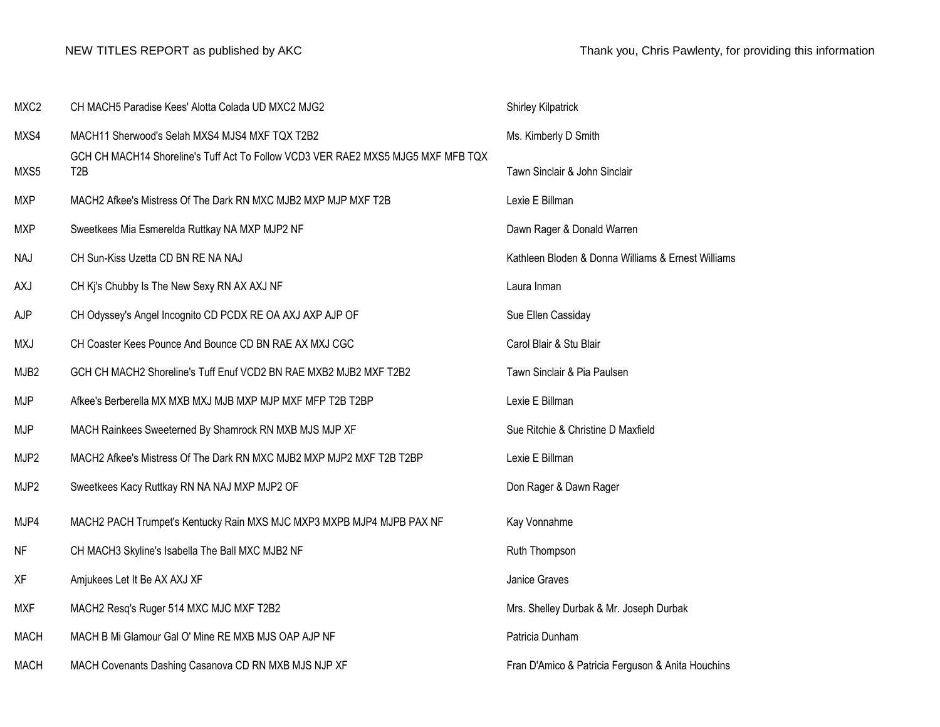| MXC2             | CH MACH5 Paradise Kees' Alotta Colada UD MXC2 MJG2                                                   | <b>Shirley Kilpatrick</b>                          |
|------------------|------------------------------------------------------------------------------------------------------|----------------------------------------------------|
| MXS4             | MACH11 Sherwood's Selah MXS4 MJS4 MXF TQX T2B2                                                       | Ms. Kimberly D Smith                               |
| MXS5             | GCH CH MACH14 Shoreline's Tuff Act To Follow VCD3 VER RAE2 MXS5 MJG5 MXF MFB TQX<br>T <sub>2</sub> B | Tawn Sinclair & John Sinclair                      |
| <b>MXP</b>       | MACH2 Afkee's Mistress Of The Dark RN MXC MJB2 MXP MJP MXF T2B                                       | Lexie E Billman                                    |
| <b>MXP</b>       | Sweetkees Mia Esmerelda Ruttkay NA MXP MJP2 NF                                                       | Dawn Rager & Donald Warren                         |
| <b>NAJ</b>       | CH Sun-Kiss Uzetta CD BN RE NA NAJ                                                                   | Kathleen Bloden & Donna Williams & Ernest Williams |
| <b>AXJ</b>       | CH Kj's Chubby Is The New Sexy RN AX AXJ NF                                                          | Laura Inman                                        |
| AJP              | CH Odyssey's Angel Incognito CD PCDX RE OA AXJ AXP AJP OF                                            | Sue Ellen Cassiday                                 |
| MXJ              | CH Coaster Kees Pounce And Bounce CD BN RAE AX MXJ CGC                                               | Carol Blair & Stu Blair                            |
| MJB <sub>2</sub> | GCH CH MACH2 Shoreline's Tuff Enuf VCD2 BN RAE MXB2 MJB2 MXF T2B2                                    | Tawn Sinclair & Pia Paulsen                        |
| <b>MJP</b>       | Afkee's Berberella MX MXB MXJ MJB MXP MJP MXF MFP T2B T2BP                                           | Lexie E Billman                                    |
| <b>MJP</b>       | MACH Rainkees Sweeterned By Shamrock RN MXB MJS MJP XF                                               | Sue Ritchie & Christine D Maxfield                 |
| MJP2             | MACH2 Afkee's Mistress Of The Dark RN MXC MJB2 MXP MJP2 MXF T2B T2BP                                 | Lexie E Billman                                    |
| MJP2             | Sweetkees Kacy Ruttkay RN NA NAJ MXP MJP2 OF                                                         | Don Rager & Dawn Rager                             |
| MJP4             | MACH2 PACH Trumpet's Kentucky Rain MXS MJC MXP3 MXPB MJP4 MJPB PAX NF                                | Kay Vonnahme                                       |
| <b>NF</b>        | CH MACH3 Skyline's Isabella The Ball MXC MJB2 NF                                                     | Ruth Thompson                                      |
| XF               | Amjukees Let It Be AX AXJ XF                                                                         | Janice Graves                                      |
| <b>MXF</b>       | MACH2 Resq's Ruger 514 MXC MJC MXF T2B2                                                              | Mrs. Shelley Durbak & Mr. Joseph Durbak            |
| <b>MACH</b>      | MACH B Mi Glamour Gal O' Mine RE MXB MJS OAP AJP NF                                                  | Patricia Dunham                                    |
| <b>MACH</b>      | MACH Covenants Dashing Casanova CD RN MXB MJS NJP XF                                                 | Fran D'Amico & Patricia Ferguson & Anita Houchins  |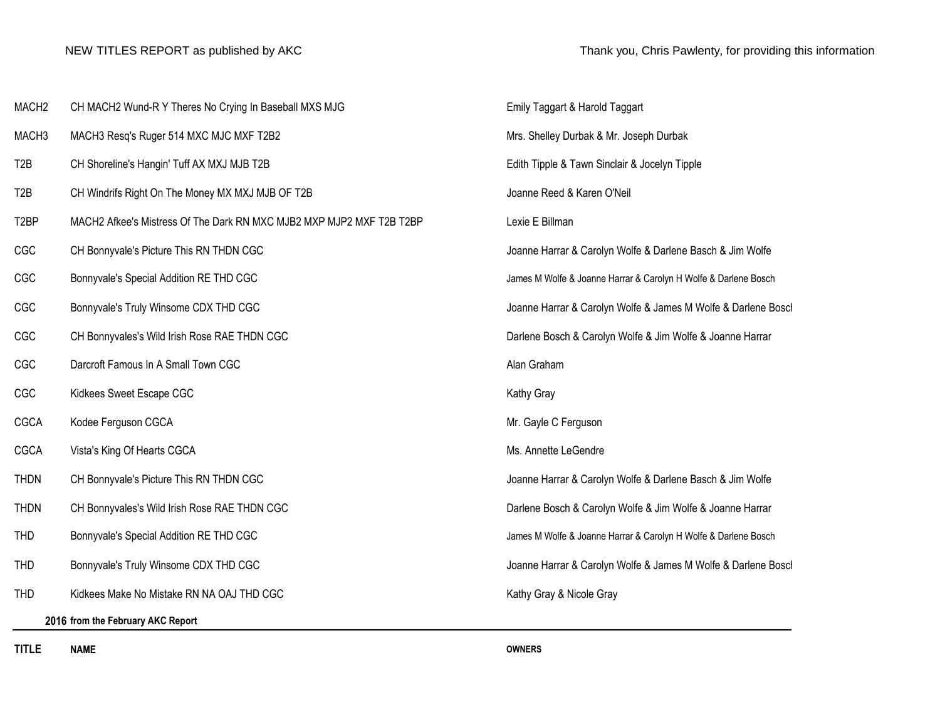| MACH <sub>2</sub>                 | CH MACH2 Wund-R Y Theres No Crying In Baseball MXS MJG               | Emily Taggart & Harold Taggart                                  |
|-----------------------------------|----------------------------------------------------------------------|-----------------------------------------------------------------|
| MACH <sub>3</sub>                 | MACH3 Resq's Ruger 514 MXC MJC MXF T2B2                              | Mrs. Shelley Durbak & Mr. Joseph Durbak                         |
| T <sub>2</sub> B                  | CH Shoreline's Hangin' Tuff AX MXJ MJB T2B                           | Edith Tipple & Tawn Sinclair & Jocelyn Tipple                   |
| T <sub>2</sub> B                  | CH Windrifs Right On The Money MX MXJ MJB OF T2B                     | Joanne Reed & Karen O'Neil                                      |
| T <sub>2</sub> BP                 | MACH2 Afkee's Mistress Of The Dark RN MXC MJB2 MXP MJP2 MXF T2B T2BP | Lexie E Billman                                                 |
| CGC                               | CH Bonnyvale's Picture This RN THDN CGC                              | Joanne Harrar & Carolyn Wolfe & Darlene Basch & Jim Wolfe       |
| CGC                               | Bonnyvale's Special Addition RE THD CGC                              | James M Wolfe & Joanne Harrar & Carolyn H Wolfe & Darlene Bosch |
| CGC                               | Bonnyvale's Truly Winsome CDX THD CGC                                | Joanne Harrar & Carolyn Wolfe & James M Wolfe & Darlene Boscl   |
| CGC                               | CH Bonnyvales's Wild Irish Rose RAE THDN CGC                         | Darlene Bosch & Carolyn Wolfe & Jim Wolfe & Joanne Harrar       |
| CGC                               | Darcroft Famous In A Small Town CGC                                  | Alan Graham                                                     |
| CGC                               | Kidkees Sweet Escape CGC                                             | Kathy Gray                                                      |
| <b>CGCA</b>                       | Kodee Ferguson CGCA                                                  | Mr. Gayle C Ferguson                                            |
| CGCA                              | Vista's King Of Hearts CGCA                                          | Ms. Annette LeGendre                                            |
| <b>THDN</b>                       | CH Bonnyvale's Picture This RN THDN CGC                              | Joanne Harrar & Carolyn Wolfe & Darlene Basch & Jim Wolfe       |
| <b>THDN</b>                       | CH Bonnyvales's Wild Irish Rose RAE THDN CGC                         | Darlene Bosch & Carolyn Wolfe & Jim Wolfe & Joanne Harrar       |
| <b>THD</b>                        | Bonnyvale's Special Addition RE THD CGC                              | James M Wolfe & Joanne Harrar & Carolyn H Wolfe & Darlene Bosch |
| <b>THD</b>                        | Bonnyvale's Truly Winsome CDX THD CGC                                | Joanne Harrar & Carolyn Wolfe & James M Wolfe & Darlene Boscl   |
| <b>THD</b>                        | Kidkees Make No Mistake RN NA OAJ THD CGC                            | Kathy Gray & Nicole Gray                                        |
| 2016 from the February AKC Report |                                                                      |                                                                 |

**TITLE NAME OWNERS**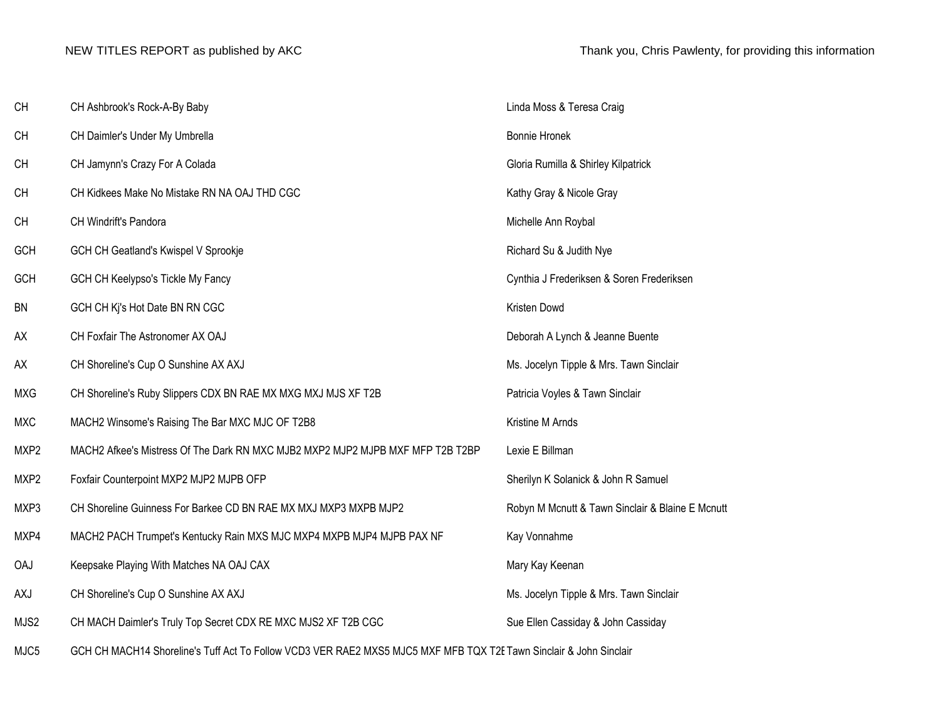| <b>CH</b>  | CH Ashbrook's Rock-A-By Baby                                                   | Linda Moss & Teresa Craig                        |
|------------|--------------------------------------------------------------------------------|--------------------------------------------------|
| CH         | CH Daimler's Under My Umbrella                                                 | <b>Bonnie Hronek</b>                             |
| <b>CH</b>  | CH Jamynn's Crazy For A Colada                                                 | Gloria Rumilla & Shirley Kilpatrick              |
| <b>CH</b>  | CH Kidkees Make No Mistake RN NA OAJ THD CGC                                   | Kathy Gray & Nicole Gray                         |
| <b>CH</b>  | CH Windrift's Pandora                                                          | Michelle Ann Roybal                              |
| GCH        | GCH CH Geatland's Kwispel V Sprookje                                           | Richard Su & Judith Nye                          |
| GCH        | GCH CH Keelypso's Tickle My Fancy                                              | Cynthia J Frederiksen & Soren Frederiksen        |
| <b>BN</b>  | GCH CH Kj's Hot Date BN RN CGC                                                 | Kristen Dowd                                     |
| AX         | CH Foxfair The Astronomer AX OAJ                                               | Deborah A Lynch & Jeanne Buente                  |
| AX         | CH Shoreline's Cup O Sunshine AX AXJ                                           | Ms. Jocelyn Tipple & Mrs. Tawn Sinclair          |
| <b>MXG</b> | CH Shoreline's Ruby Slippers CDX BN RAE MX MXG MXJ MJS XF T2B                  | Patricia Voyles & Tawn Sinclair                  |
| <b>MXC</b> | MACH2 Winsome's Raising The Bar MXC MJC OF T2B8                                | Kristine M Arnds                                 |
| MXP2       | MACH2 Afkee's Mistress Of The Dark RN MXC MJB2 MXP2 MJP2 MJPB MXF MFP T2B T2BP | Lexie E Billman                                  |
| MXP2       | Foxfair Counterpoint MXP2 MJP2 MJPB OFP                                        | Sherilyn K Solanick & John R Samuel              |
| MXP3       | CH Shoreline Guinness For Barkee CD BN RAE MX MXJ MXP3 MXPB MJP2               | Robyn M Mcnutt & Tawn Sinclair & Blaine E Mcnutt |
| MXP4       | MACH2 PACH Trumpet's Kentucky Rain MXS MJC MXP4 MXPB MJP4 MJPB PAX NF          | Kay Vonnahme                                     |
| <b>OAJ</b> | Keepsake Playing With Matches NA OAJ CAX                                       | Mary Kay Keenan                                  |
| AXJ        | CH Shoreline's Cup O Sunshine AX AXJ                                           | Ms. Jocelyn Tipple & Mrs. Tawn Sinclair          |
| MJS2       | CH MACH Daimler's Truly Top Secret CDX RE MXC MJS2 XF T2B CGC                  | Sue Ellen Cassiday & John Cassiday               |
|            |                                                                                |                                                  |

MJC5 GCH CH MACH14 Shoreline's Tuff Act To Follow VCD3 VER RAE2 MXS5 MJC5 MXF MFB TQX T2E Tawn Sinclair & John Sinclair